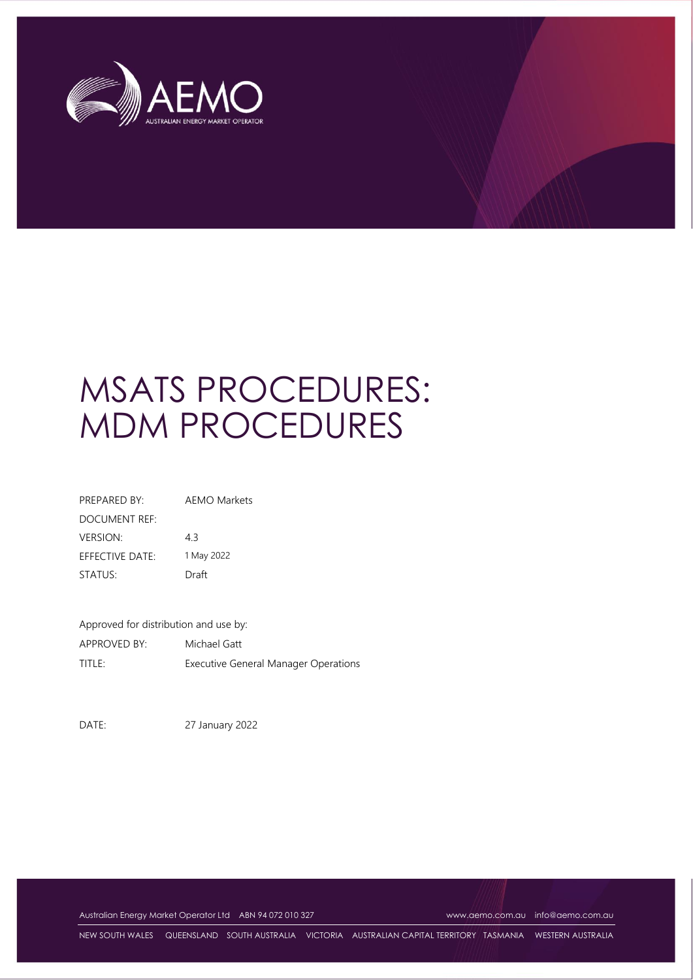

# MSATS PROCEDURES: MDM PROCEDURES

| PREPARED BY:                  | AFMO Markets |
|-------------------------------|--------------|
| DOCUMENT REF:                 |              |
| <b>VERSION:</b>               | 43           |
| $F$ FFF $C$ TIVF DATF $\cdot$ | 1 May 2022   |
| STATUS:                       | Draft        |

Approved for distribution and use by: APPROVED BY: Michael Gatt TITLE: Executive General Manager Operations

DATE: 27 January 2022

Australian Energy Market Operator Ltd ABN 94 072 010 327 [www.aemo.com.au](http://www.aemo.com.au/) [info@aemo.com.au](mailto:info@aemo.com.au) info@aemo.com.au

NEW SOUTH WALES QUEENSLAND SOUTH AUSTRALIA VICTORIA AUSTRALIAN CAPITAL TERRITORY TASMANIA WESTERN AUSTRALIA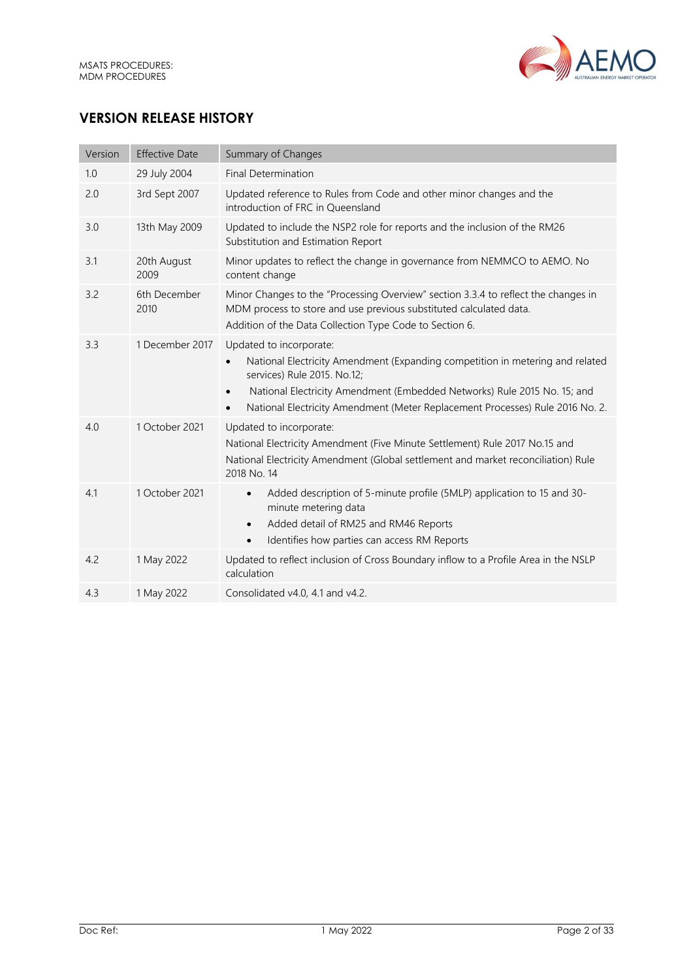

# **VERSION RELEASE HISTORY**

| Version | <b>Effective Date</b> | Summary of Changes                                                                                                                                                                                                                                                                                                                          |
|---------|-----------------------|---------------------------------------------------------------------------------------------------------------------------------------------------------------------------------------------------------------------------------------------------------------------------------------------------------------------------------------------|
| 1.0     | 29 July 2004          | <b>Final Determination</b>                                                                                                                                                                                                                                                                                                                  |
| 2.0     | 3rd Sept 2007         | Updated reference to Rules from Code and other minor changes and the<br>introduction of FRC in Queensland                                                                                                                                                                                                                                   |
| 3.0     | 13th May 2009         | Updated to include the NSP2 role for reports and the inclusion of the RM26<br>Substitution and Estimation Report                                                                                                                                                                                                                            |
| 3.1     | 20th August<br>2009   | Minor updates to reflect the change in governance from NEMMCO to AEMO. No<br>content change                                                                                                                                                                                                                                                 |
| 3.2     | 6th December<br>2010  | Minor Changes to the "Processing Overview" section 3.3.4 to reflect the changes in<br>MDM process to store and use previous substituted calculated data.<br>Addition of the Data Collection Type Code to Section 6.                                                                                                                         |
| 3.3     | 1 December 2017       | Updated to incorporate:<br>National Electricity Amendment (Expanding competition in metering and related<br>$\bullet$<br>services) Rule 2015. No.12;<br>National Electricity Amendment (Embedded Networks) Rule 2015 No. 15; and<br>$\bullet$<br>National Electricity Amendment (Meter Replacement Processes) Rule 2016 No. 2.<br>$\bullet$ |
| 4.0     | 1 October 2021        | Updated to incorporate:<br>National Electricity Amendment (Five Minute Settlement) Rule 2017 No.15 and<br>National Electricity Amendment (Global settlement and market reconciliation) Rule<br>2018 No. 14                                                                                                                                  |
| 4.1     | 1 October 2021        | Added description of 5-minute profile (5MLP) application to 15 and 30-<br>$\bullet$<br>minute metering data<br>Added detail of RM25 and RM46 Reports<br>$\bullet$<br>Identifies how parties can access RM Reports<br>$\bullet$                                                                                                              |
| 4.2     | 1 May 2022            | Updated to reflect inclusion of Cross Boundary inflow to a Profile Area in the NSLP<br>calculation                                                                                                                                                                                                                                          |
| 4.3     | 1 May 2022            | Consolidated v4.0, 4.1 and v4.2.                                                                                                                                                                                                                                                                                                            |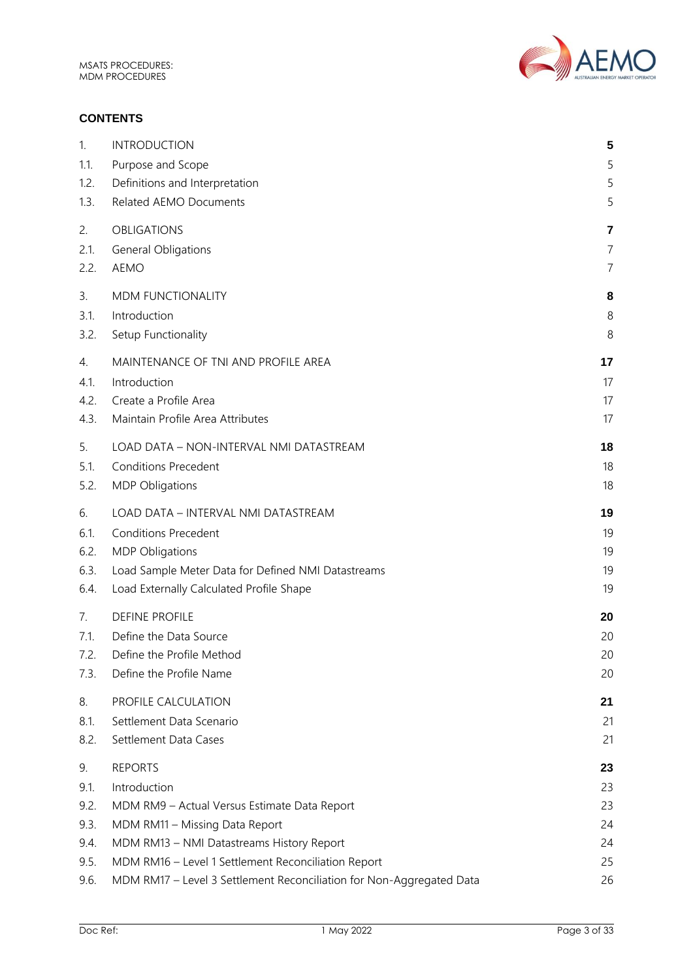

## **CONTENTS**

| 1.   | <b>INTRODUCTION</b>                                                  | 5              |
|------|----------------------------------------------------------------------|----------------|
| 1.1. | Purpose and Scope                                                    | 5              |
| 1.2. | Definitions and Interpretation                                       | 5              |
| 1.3. | Related AEMO Documents                                               | 5              |
| 2.   | <b>OBLIGATIONS</b>                                                   | 7              |
| 2.1. | General Obligations                                                  | 7              |
| 2.2. | <b>AEMO</b>                                                          | $\overline{7}$ |
| 3.   | MDM FUNCTIONALITY                                                    | 8              |
| 3.1. | Introduction                                                         | 8              |
| 3.2. | Setup Functionality                                                  | 8              |
| 4.   | MAINTENANCE OF TNI AND PROFILE AREA                                  | 17             |
| 4.1. | Introduction                                                         | 17             |
| 4.2. | Create a Profile Area                                                | 17             |
| 4.3. | Maintain Profile Area Attributes                                     | 17             |
| 5.   | LOAD DATA - NON-INTERVAL NMI DATASTREAM                              | 18             |
| 5.1. | <b>Conditions Precedent</b>                                          | 18             |
| 5.2. | <b>MDP Obligations</b>                                               | 18             |
| 6.   | LOAD DATA - INTERVAL NMI DATASTREAM                                  | 19             |
| 6.1. | <b>Conditions Precedent</b>                                          | 19             |
| 6.2. | <b>MDP Obligations</b>                                               | 19             |
| 6.3. | Load Sample Meter Data for Defined NMI Datastreams                   | 19             |
| 6.4. | Load Externally Calculated Profile Shape                             | 19             |
| 7.   | <b>DEFINE PROFILE</b>                                                | 20             |
| 7.1. | Define the Data Source                                               | 20             |
| 7.2. | Define the Profile Method                                            | 20             |
| 7.3. | Define the Profile Name                                              | 20             |
| 8.   | PROFILE CALCULATION                                                  | 21             |
| 8.1. | Settlement Data Scenario                                             | 21             |
| 8.2. | Settlement Data Cases                                                | 21             |
| 9.   | <b>REPORTS</b>                                                       | 23             |
| 9.1. | Introduction                                                         | 23             |
| 9.2. | MDM RM9 - Actual Versus Estimate Data Report                         | 23             |
| 9.3. | MDM RM11 - Missing Data Report                                       | 24             |
| 9.4. | MDM RM13 - NMI Datastreams History Report                            | 24             |
| 9.5. | MDM RM16 - Level 1 Settlement Reconciliation Report                  | 25             |
| 9.6. | MDM RM17 - Level 3 Settlement Reconciliation for Non-Aggregated Data | 26             |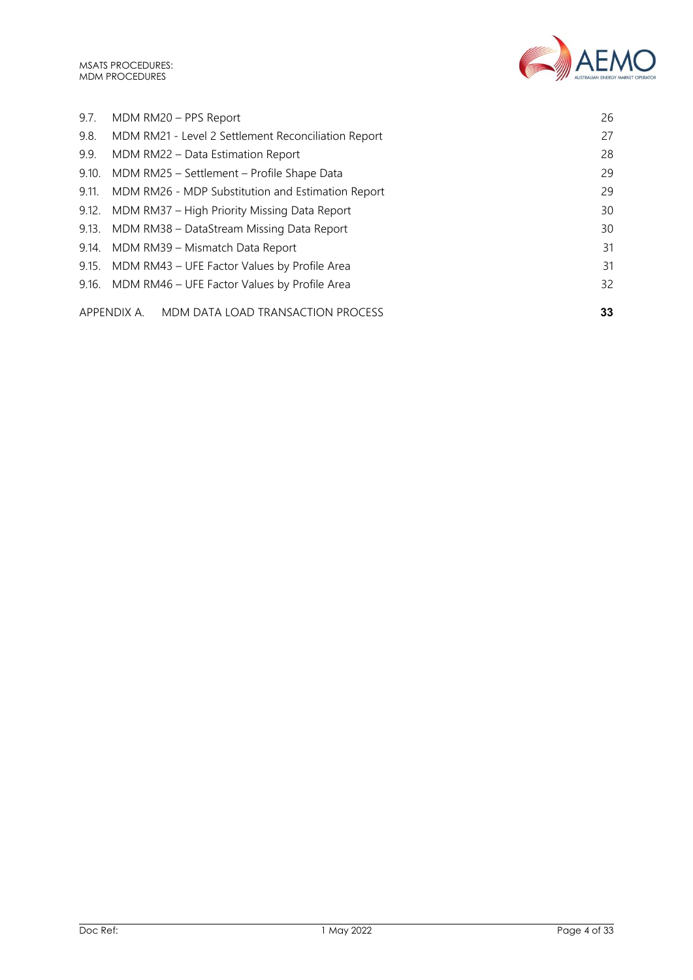MSATS PROCEDURES: MDM PROCEDURES



|       | APPENDIX A. MDM DATA LOAD TRANSACTION PROCESS       | 33 |
|-------|-----------------------------------------------------|----|
|       | 9.16. MDM RM46 - UFE Factor Values by Profile Area  | 32 |
|       | 9.15. MDM RM43 - UFE Factor Values by Profile Area  | 31 |
|       | 9.14. MDM RM39 - Mismatch Data Report               | 31 |
|       | 9.13. MDM RM38 - DataStream Missing Data Report     | 30 |
|       | 9.12. MDM RM37 - High Priority Missing Data Report  | 30 |
| 9.11. | MDM RM26 - MDP Substitution and Estimation Report   | 29 |
|       | 9.10. MDM RM25 - Settlement - Profile Shape Data    | 29 |
| 9.9.  | MDM RM22 - Data Estimation Report                   | 28 |
| 9.8.  | MDM RM21 - Level 2 Settlement Reconciliation Report | 27 |
| 9.7.  | MDM RM20 - PPS Report                               | 26 |
|       |                                                     |    |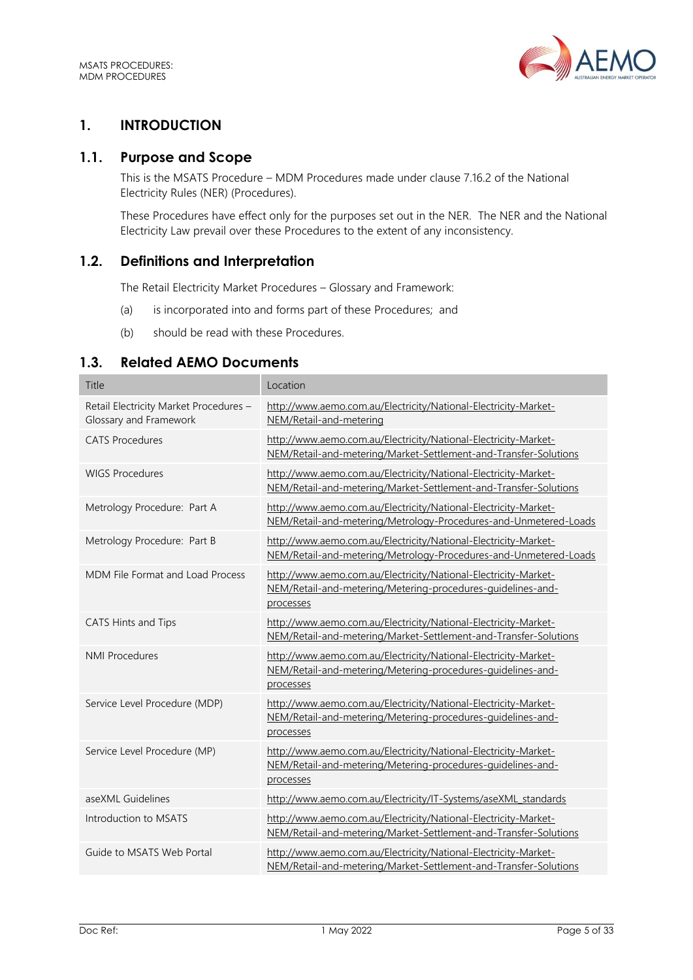

# <span id="page-4-0"></span>**1. INTRODUCTION**

# <span id="page-4-1"></span>**1.1. Purpose and Scope**

This is the MSATS Procedure – MDM Procedures made under clause 7.16.2 of the National Electricity Rules (NER) (Procedures).

These Procedures have effect only for the purposes set out in the NER. The NER and the National Electricity Law prevail over these Procedures to the extent of any inconsistency.

# <span id="page-4-2"></span>**1.2. Definitions and Interpretation**

The Retail Electricity Market Procedures – Glossary and Framework:

- (a) is incorporated into and forms part of these Procedures; and
- (b) should be read with these Procedures.

# <span id="page-4-3"></span>**1.3. Related AEMO Documents**

| Title                                                            | Location                                                                                                                                    |
|------------------------------------------------------------------|---------------------------------------------------------------------------------------------------------------------------------------------|
| Retail Electricity Market Procedures -<br>Glossary and Framework | http://www.aemo.com.au/Electricity/National-Electricity-Market-<br>NEM/Retail-and-metering                                                  |
| <b>CATS Procedures</b>                                           | http://www.aemo.com.au/Electricity/National-Electricity-Market-<br>NEM/Retail-and-metering/Market-Settlement-and-Transfer-Solutions         |
| <b>WIGS Procedures</b>                                           | http://www.aemo.com.au/Electricity/National-Electricity-Market-<br>NEM/Retail-and-metering/Market-Settlement-and-Transfer-Solutions         |
| Metrology Procedure: Part A                                      | http://www.aemo.com.au/Electricity/National-Electricity-Market-<br>NEM/Retail-and-metering/Metrology-Procedures-and-Unmetered-Loads         |
| Metrology Procedure: Part B                                      | http://www.aemo.com.au/Electricity/National-Electricity-Market-<br>NEM/Retail-and-metering/Metrology-Procedures-and-Unmetered-Loads         |
| MDM File Format and Load Process                                 | http://www.aemo.com.au/Electricity/National-Electricity-Market-<br>NEM/Retail-and-metering/Metering-procedures-guidelines-and-<br>processes |
| CATS Hints and Tips                                              | http://www.aemo.com.au/Electricity/National-Electricity-Market-<br>NEM/Retail-and-metering/Market-Settlement-and-Transfer-Solutions         |
| <b>NMI Procedures</b>                                            | http://www.aemo.com.au/Electricity/National-Electricity-Market-<br>NEM/Retail-and-metering/Metering-procedures-quidelines-and-<br>processes |
| Service Level Procedure (MDP)                                    | http://www.aemo.com.au/Electricity/National-Electricity-Market-<br>NEM/Retail-and-metering/Metering-procedures-quidelines-and-<br>processes |
| Service Level Procedure (MP)                                     | http://www.aemo.com.au/Electricity/National-Electricity-Market-<br>NEM/Retail-and-metering/Metering-procedures-guidelines-and-<br>processes |
| aseXML Guidelines                                                | http://www.aemo.com.au/Electricity/IT-Systems/aseXML standards                                                                              |
| Introduction to MSATS                                            | http://www.aemo.com.au/Electricity/National-Electricity-Market-<br>NEM/Retail-and-metering/Market-Settlement-and-Transfer-Solutions         |
| Guide to MSATS Web Portal                                        | http://www.aemo.com.au/Electricity/National-Electricity-Market-<br>NEM/Retail-and-metering/Market-Settlement-and-Transfer-Solutions         |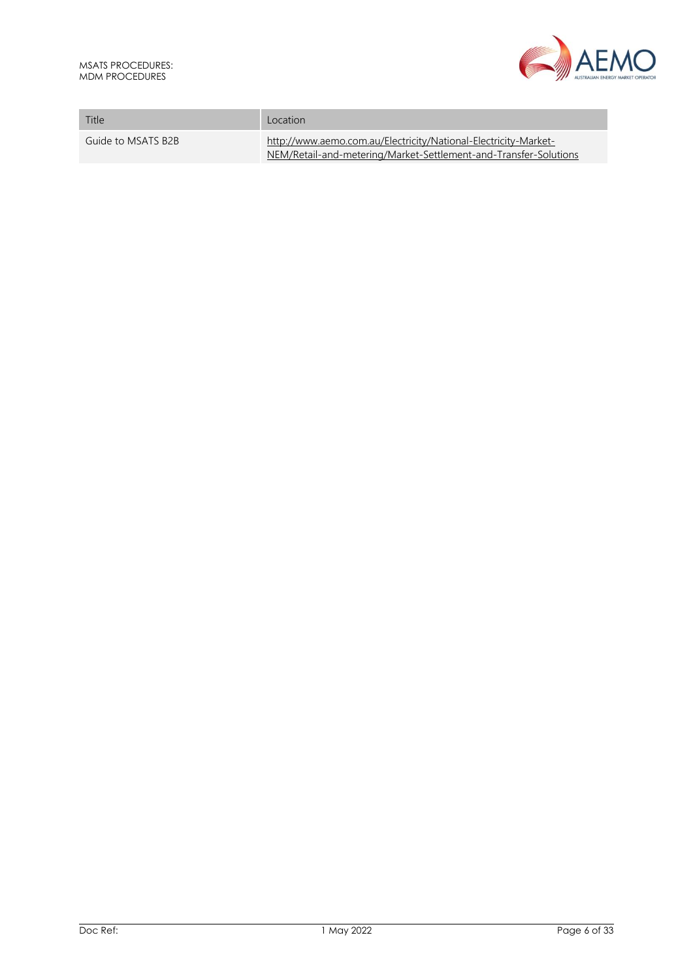

| Title              | Location                                                                                                                            |
|--------------------|-------------------------------------------------------------------------------------------------------------------------------------|
| Guide to MSATS B2B | http://www.aemo.com.au/Electricity/National-Electricity-Market-<br>NEM/Retail-and-metering/Market-Settlement-and-Transfer-Solutions |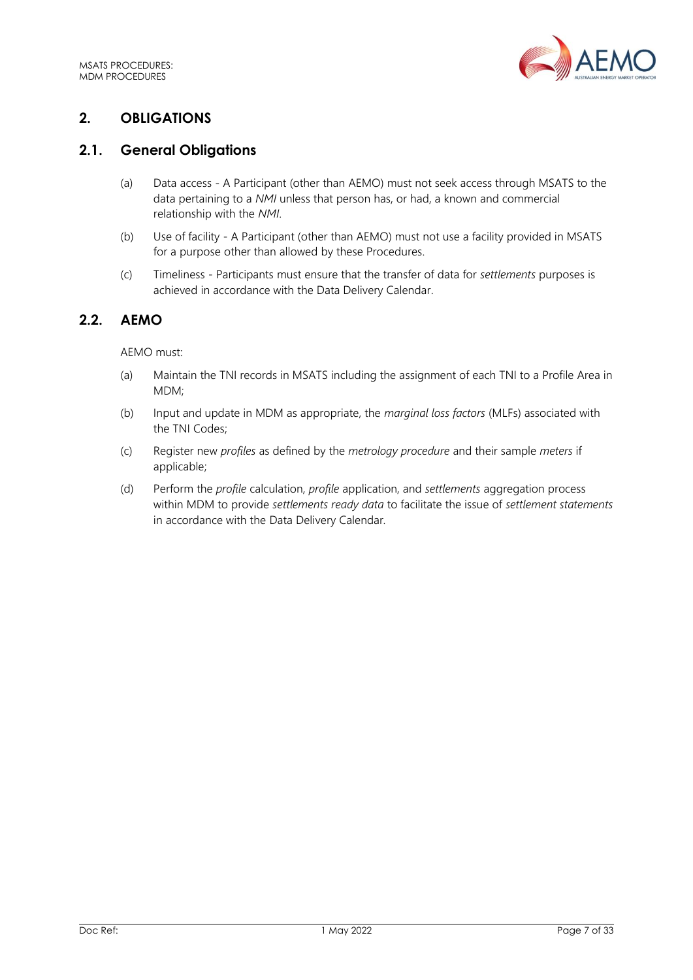

# <span id="page-6-0"></span>**2. OBLIGATIONS**

# <span id="page-6-1"></span>**2.1. General Obligations**

- (a) Data access A Participant (other than AEMO) must not seek access through MSATS to the data pertaining to a *NMI* unless that person has, or had, a known and commercial relationship with the *NMI*.
- (b) Use of facility A Participant (other than AEMO) must not use a facility provided in MSATS for a purpose other than allowed by these Procedures.
- (c) Timeliness Participants must ensure that the transfer of data for *settlements* purposes is achieved in accordance with the Data Delivery Calendar.

# <span id="page-6-2"></span>**2.2. AEMO**

#### AEMO must:

- (a) Maintain the TNI records in MSATS including the assignment of each TNI to a Profile Area in MDM;
- (b) Input and update in MDM as appropriate, the *marginal loss factors* (MLFs) associated with the TNI Codes;
- (c) Register new *profiles* as defined by the *metrology procedure* and their sample *meters* if applicable;
- (d) Perform the *profile* calculation, *profile* application, and *settlements* aggregation process within MDM to provide *settlements ready data* to facilitate the issue of *settlement statements* in accordance with the Data Delivery Calendar*.*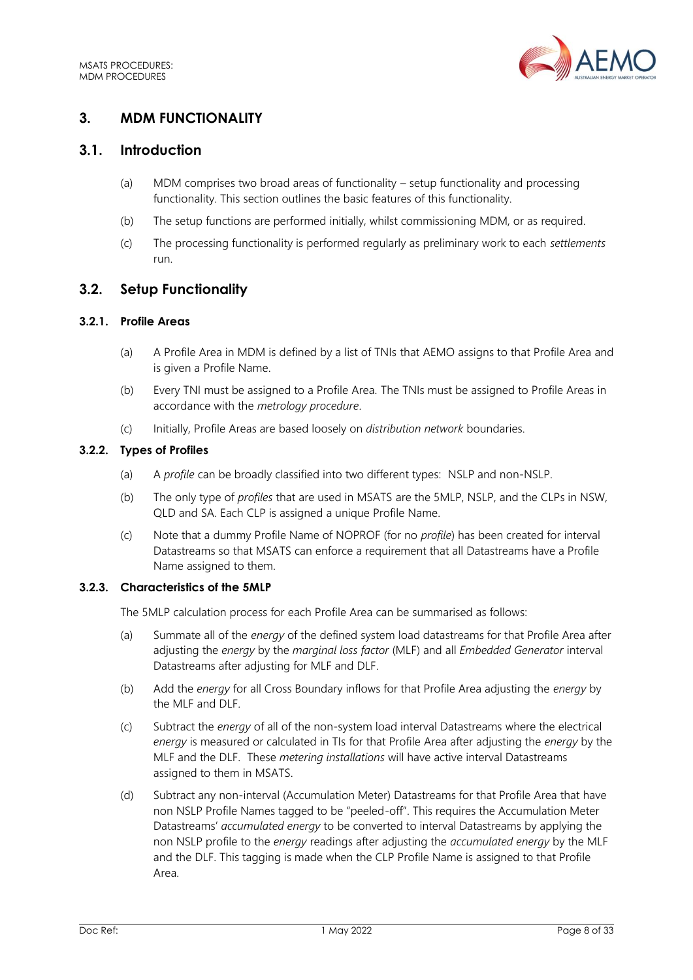

# <span id="page-7-0"></span>**3. MDM FUNCTIONALITY**

# <span id="page-7-1"></span>**3.1. Introduction**

- (a) MDM comprises two broad areas of functionality setup functionality and processing functionality. This section outlines the basic features of this functionality.
- (b) The setup functions are performed initially, whilst commissioning MDM, or as required.
- (c) The processing functionality is performed regularly as preliminary work to each *settlements* run.

# <span id="page-7-2"></span>**3.2. Setup Functionality**

## **3.2.1. Profile Areas**

- (a) A Profile Area in MDM is defined by a list of TNIs that AEMO assigns to that Profile Area and is given a Profile Name.
- (b) Every TNI must be assigned to a Profile Area. The TNIs must be assigned to Profile Areas in accordance with the *metrology procedure*.
- (c) Initially, Profile Areas are based loosely on *distribution network* boundaries.

## **3.2.2. Types of Profiles**

- (a) A *profile* can be broadly classified into two different types: NSLP and non-NSLP.
- (b) The only type of *profiles* that are used in MSATS are the 5MLP, NSLP, and the CLPs in NSW, QLD and SA. Each CLP is assigned a unique Profile Name.
- (c) Note that a dummy Profile Name of NOPROF (for no *profile*) has been created for interval Datastreams so that MSATS can enforce a requirement that all Datastreams have a Profile Name assigned to them.

## **3.2.3. Characteristics of the 5MLP**

The 5MLP calculation process for each Profile Area can be summarised as follows:

- (a) Summate all of the *energy* of the defined system load datastreams for that Profile Area after adjusting the *energy* by the *marginal loss factor* (MLF) and all *Embedded Generator* interval Datastreams after adjusting for MLF and DLF.
- (b) Add the *energy* for all Cross Boundary inflows for that Profile Area adjusting the *energy* by the MLF and DLF.
- (c) Subtract the *energy* of all of the non-system load interval Datastreams where the electrical *energy* is measured or calculated in TIs for that Profile Area after adjusting the *energy* by the MLF and the DLF. These *metering installations* will have active interval Datastreams assigned to them in MSATS.
- (d) Subtract any non-interval (Accumulation Meter) Datastreams for that Profile Area that have non NSLP Profile Names tagged to be "peeled-off". This requires the Accumulation Meter Datastreams' *accumulated energy* to be converted to interval Datastreams by applying the non NSLP profile to the *energy* readings after adjusting the *accumulated energy* by the MLF and the DLF. This tagging is made when the CLP Profile Name is assigned to that Profile Area.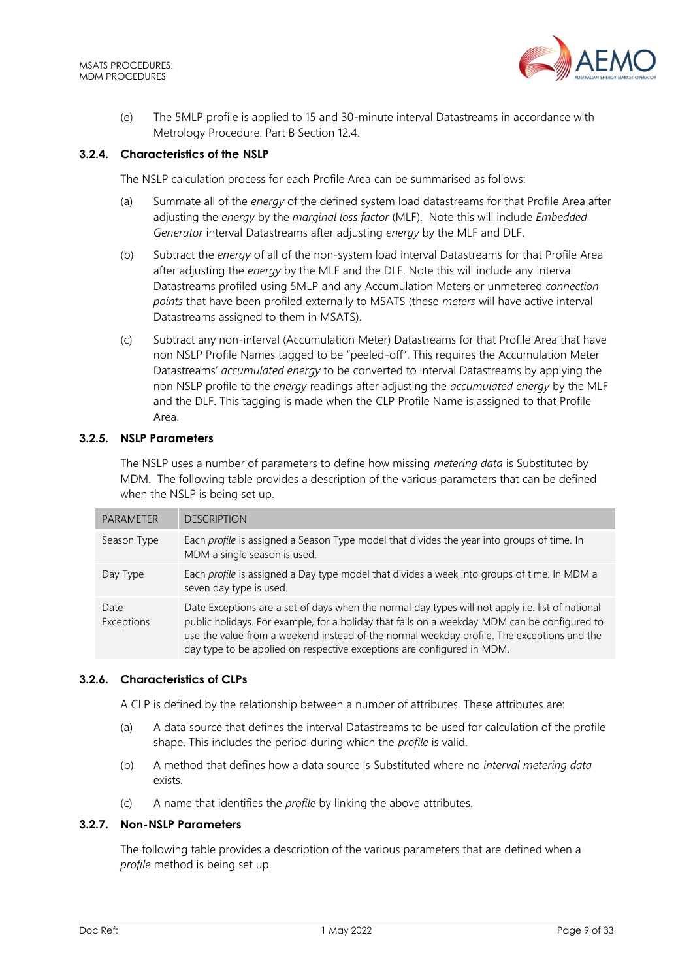

(e) The 5MLP profile is applied to 15 and 30-minute interval Datastreams in accordance with Metrology Procedure: Part B Section 12.4.

## **3.2.4. Characteristics of the NSLP**

The NSLP calculation process for each Profile Area can be summarised as follows:

- (a) Summate all of the *energy* of the defined system load datastreams for that Profile Area after adjusting the *energy* by the *marginal loss factor* (MLF). Note this will include *Embedded Generator* interval Datastreams after adjusting *energy* by the MLF and DLF.
- (b) Subtract the *energy* of all of the non-system load interval Datastreams for that Profile Area after adjusting the *energy* by the MLF and the DLF. Note this will include any interval Datastreams profiled using 5MLP and any Accumulation Meters or unmetered *connection points* that have been profiled externally to MSATS (these *meters* will have active interval Datastreams assigned to them in MSATS).
- (c) Subtract any non-interval (Accumulation Meter) Datastreams for that Profile Area that have non NSLP Profile Names tagged to be "peeled-off". This requires the Accumulation Meter Datastreams' *accumulated energy* to be converted to interval Datastreams by applying the non NSLP profile to the *energy* readings after adjusting the *accumulated energy* by the MLF and the DLF. This tagging is made when the CLP Profile Name is assigned to that Profile Area.

## **3.2.5. NSLP Parameters**

The NSLP uses a number of parameters to define how missing *metering data* is Substituted by MDM. The following table provides a description of the various parameters that can be defined when the NSLP is being set up.

| <b>PARAMETER</b>   | <b>DESCRIPTION</b>                                                                                                                                                                                                                                                                                                                                                       |
|--------------------|--------------------------------------------------------------------------------------------------------------------------------------------------------------------------------------------------------------------------------------------------------------------------------------------------------------------------------------------------------------------------|
| Season Type        | Each profile is assigned a Season Type model that divides the year into groups of time. In<br>MDM a single season is used.                                                                                                                                                                                                                                               |
| Day Type           | Each profile is assigned a Day type model that divides a week into groups of time. In MDM a<br>seven day type is used.                                                                                                                                                                                                                                                   |
| Date<br>Exceptions | Date Exceptions are a set of days when the normal day types will not apply i.e. list of national<br>public holidays. For example, for a holiday that falls on a weekday MDM can be configured to<br>use the value from a weekend instead of the normal weekday profile. The exceptions and the<br>day type to be applied on respective exceptions are configured in MDM. |

#### <span id="page-8-0"></span>**3.2.6. Characteristics of CLPs**

A CLP is defined by the relationship between a number of attributes. These attributes are:

- (a) A data source that defines the interval Datastreams to be used for calculation of the profile shape. This includes the period during which the *profile* is valid.
- (b) A method that defines how a data source is Substituted where no *interval metering data* exists.
- (c) A name that identifies the *profile* by linking the above attributes.

## **3.2.7. Non-NSLP Parameters**

The following table provides a description of the various parameters that are defined when a *profile* method is being set up.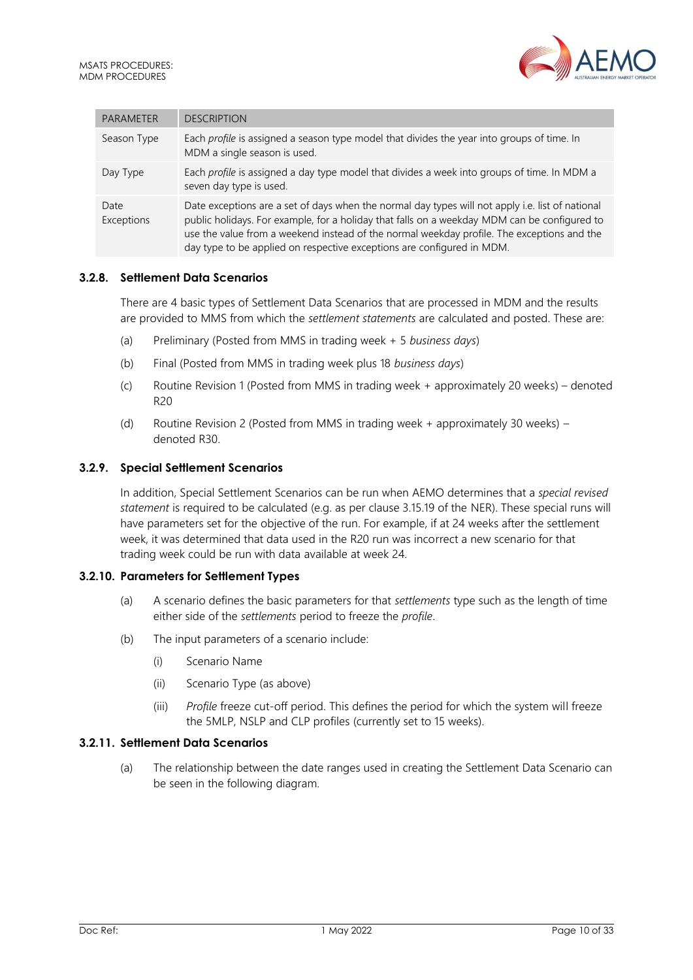

| <b>PARAMETER</b>   | <b>DESCRIPTION</b>                                                                                                                                                                                                                                                                                                                                                       |
|--------------------|--------------------------------------------------------------------------------------------------------------------------------------------------------------------------------------------------------------------------------------------------------------------------------------------------------------------------------------------------------------------------|
| Season Type        | Each profile is assigned a season type model that divides the year into groups of time. In<br>MDM a single season is used.                                                                                                                                                                                                                                               |
| Day Type           | Each profile is assigned a day type model that divides a week into groups of time. In MDM a<br>seven day type is used.                                                                                                                                                                                                                                                   |
| Date<br>Exceptions | Date exceptions are a set of days when the normal day types will not apply i.e. list of national<br>public holidays. For example, for a holiday that falls on a weekday MDM can be configured to<br>use the value from a weekend instead of the normal weekday profile. The exceptions and the<br>day type to be applied on respective exceptions are configured in MDM. |

## **3.2.8. Settlement Data Scenarios**

There are 4 basic types of Settlement Data Scenarios that are processed in MDM and the results are provided to MMS from which the *settlement statements* are calculated and posted. These are:

- (a) Preliminary (Posted from MMS in trading week + 5 *business days*)
- (b) Final (Posted from MMS in trading week plus 18 *business days*)
- (c) Routine Revision 1 (Posted from MMS in trading week + approximately 20 weeks) denoted R20
- (d) Routine Revision 2 (Posted from MMS in trading week + approximately 30 weeks) denoted R30.

#### **3.2.9. Special Settlement Scenarios**

In addition, Special Settlement Scenarios can be run when AEMO determines that a *special revised statement* is required to be calculated (e.g. as per clause 3.15.19 of the NER). These special runs will have parameters set for the objective of the run. For example, if at 24 weeks after the settlement week, it was determined that data used in the R20 run was incorrect a new scenario for that trading week could be run with data available at week 24.

#### **3.2.10. Parameters for Settlement Types**

- (a) A scenario defines the basic parameters for that *settlements* type such as the length of time either side of the *settlements* period to freeze the *profile*.
- (b) The input parameters of a scenario include:
	- (i) Scenario Name
	- (ii) Scenario Type (as above)
	- (iii) *Profile* freeze cut-off period. This defines the period for which the system will freeze the 5MLP, NSLP and CLP profiles (currently set to 15 weeks).

#### **3.2.11. Settlement Data Scenarios**

(a) The relationship between the date ranges used in creating the Settlement Data Scenario can be seen in the following diagram.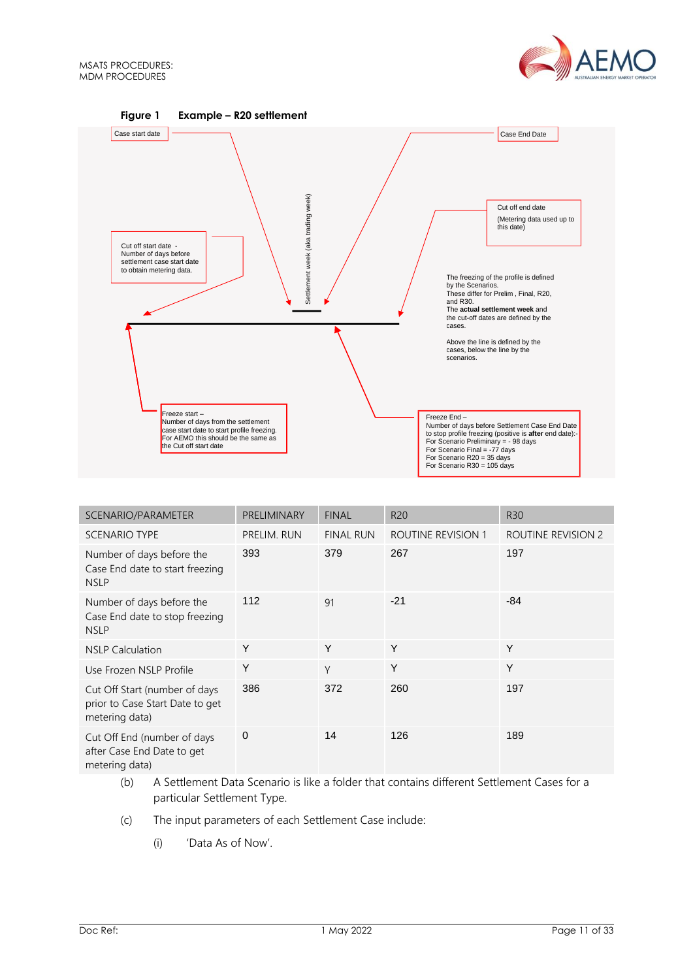



| SCENARIO/PARAMETER                                                                 | PRELIMINARY | <b>FINAL</b>     | R <sub>20</sub>    | <b>R30</b>         |
|------------------------------------------------------------------------------------|-------------|------------------|--------------------|--------------------|
| <b>SCENARIO TYPE</b>                                                               | PRELIM. RUN | <b>FINAL RUN</b> | ROUTINE REVISION 1 | ROUTINE REVISION 2 |
| Number of days before the<br>Case End date to start freezing<br><b>NSLP</b>        | 393         | 379              | 267                | 197                |
| Number of days before the<br>Case End date to stop freezing<br><b>NSLP</b>         | 112         | 91               | $-21$              | $-84$              |
| <b>NSLP Calculation</b>                                                            | Y           | Y                | Y                  | Y                  |
| Use Frozen NSLP Profile                                                            | Y           | Y                | Y                  | Y                  |
| Cut Off Start (number of days<br>prior to Case Start Date to get<br>metering data) | 386         | 372              | 260                | 197                |
| Cut Off End (number of days<br>after Case End Date to get<br>metering data)        | $\mathbf 0$ | 14               | 126                | 189                |

- (b) A Settlement Data Scenario is like a folder that contains different Settlement Cases for a particular Settlement Type.
- (c) The input parameters of each Settlement Case include:
	- (i) 'Data As of Now'.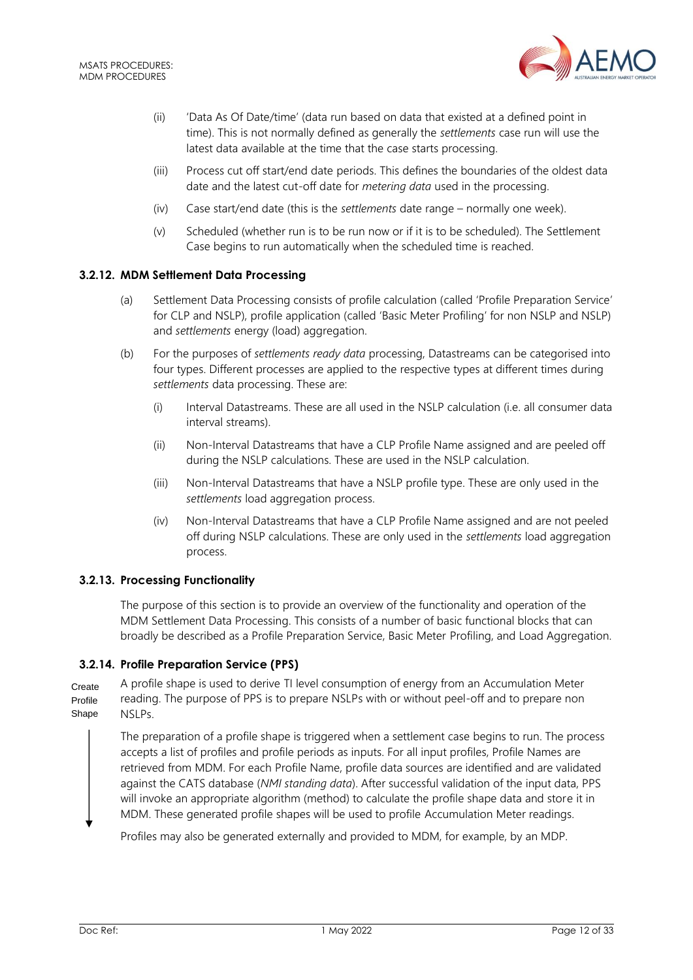

- (ii) 'Data As Of Date/time' (data run based on data that existed at a defined point in time). This is not normally defined as generally the *settlements* case run will use the latest data available at the time that the case starts processing.
- (iii) Process cut off start/end date periods. This defines the boundaries of the oldest data date and the latest cut-off date for *metering data* used in the processing.
- (iv) Case start/end date (this is the *settlements* date range normally one week).
- (v) Scheduled (whether run is to be run now or if it is to be scheduled). The Settlement Case begins to run automatically when the scheduled time is reached.

## **3.2.12. MDM Settlement Data Processing**

- (a) Settlement Data Processing consists of profile calculation (called 'Profile Preparation Service' for CLP and NSLP), profile application (called 'Basic Meter Profiling' for non NSLP and NSLP) and *settlements* energy (load) aggregation.
- (b) For the purposes of *settlements ready data* processing, Datastreams can be categorised into four types. Different processes are applied to the respective types at different times during *settlements* data processing. These are:
	- (i) Interval Datastreams. These are all used in the NSLP calculation (i.e. all consumer data interval streams).
	- (ii) Non-Interval Datastreams that have a CLP Profile Name assigned and are peeled off during the NSLP calculations. These are used in the NSLP calculation.
	- (iii) Non-Interval Datastreams that have a NSLP profile type. These are only used in the *settlements* load aggregation process.
	- (iv) Non-Interval Datastreams that have a CLP Profile Name assigned and are not peeled off during NSLP calculations. These are only used in the *settlements* load aggregation process.

## **3.2.13. Processing Functionality**

The purpose of this section is to provide an overview of the functionality and operation of the MDM Settlement Data Processing. This consists of a number of basic functional blocks that can broadly be described as a Profile Preparation Service, Basic Meter Profiling, and Load Aggregation.

## **3.2.14. Profile Preparation Service (PPS)**

A profile shape is used to derive TI level consumption of energy from an Accumulation Meter reading. The purpose of PPS is to prepare NSLPs with or without peel-off and to prepare non NSLPs. Create Profile Shape

The preparation of a profile shape is triggered when a settlement case begins to run. The process accepts a list of profiles and profile periods as inputs. For all input profiles, Profile Names are retrieved from MDM. For each Profile Name, profile data sources are identified and are validated against the CATS database (*NMI standing data*). After successful validation of the input data, PPS will invoke an appropriate algorithm (method) to calculate the profile shape data and store it in MDM. These generated profile shapes will be used to profile Accumulation Meter readings.

Profiles may also be generated externally and provided to MDM, for example, by an MDP.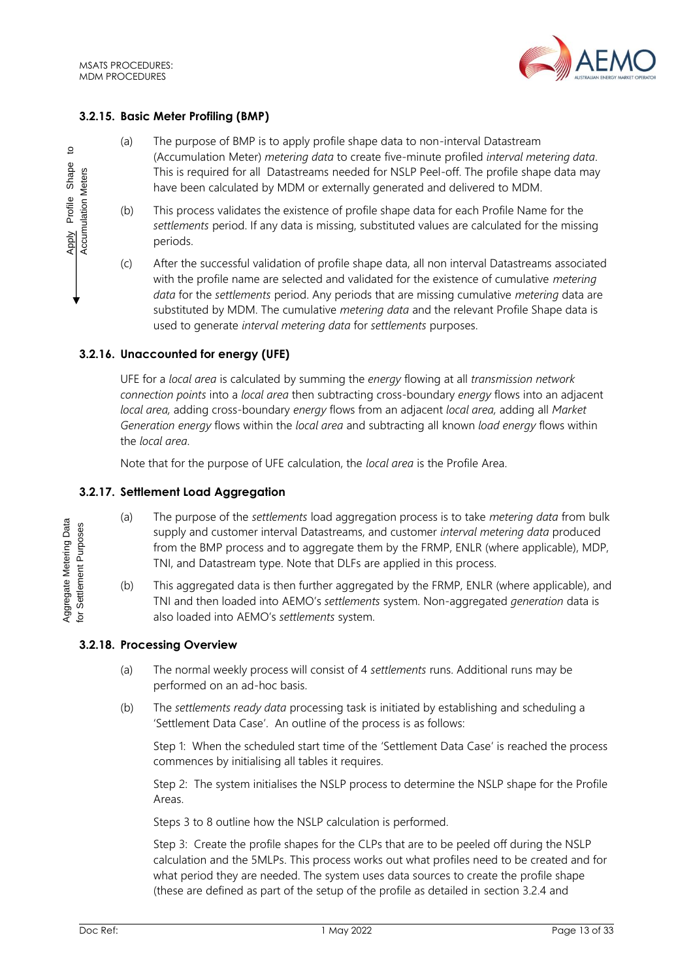

## **3.2.15. Basic Meter Profiling (BMP)**

- (a) The purpose of BMP is to apply profile shape data to non-interval Datastream (Accumulation Meter) *metering data* to create five-minute profiled *interval metering data*. This is required for all Datastreams needed for NSLP Peel-off. The profile shape data may have been calculated by MDM or externally generated and delivered to MDM.
- (b) This process validates the existence of profile shape data for each Profile Name for the *settlements* period. If any data is missing, substituted values are calculated for the missing periods.
- (c) After the successful validation of profile shape data, all non interval Datastreams associated with the profile name are selected and validated for the existence of cumulative *metering data* for the *settlements* period. Any periods that are missing cumulative *metering* data are substituted by MDM. The cumulative *metering data* and the relevant Profile Shape data is used to generate *interval metering data* for *settlements* purposes.

## **3.2.16. Unaccounted for energy (UFE)**

UFE for a *local area* is calculated by summing the *energy* flowing at all *transmission network connection points* into a *local area* then subtracting cross-boundary *energy* flows into an adjacent *local area,* adding cross-boundary *energy* flows from an adjacent *local area,* adding all *Market Generation energy* flows within the *local area* and subtracting all known *load energy* flows within the *local area*.

Note that for the purpose of UFE calculation, the *local area* is the Profile Area.

## **3.2.17. Settlement Load Aggregation**

- (a) The purpose of the *settlements* load aggregation process is to take *metering data* from bulk supply and customer interval Datastreams, and customer *interval metering data* produced from the BMP process and to aggregate them by the FRMP, ENLR (where applicable), MDP, TNI, and Datastream type. Note that DLFs are applied in this process.
- (b) This aggregated data is then further aggregated by the FRMP, ENLR (where applicable), and TNI and then loaded into AEMO's *settlements* system. Non-aggregated *generation* data is also loaded into AEMO's *settlements* system.

## **3.2.18. Processing Overview**

- (a) The normal weekly process will consist of 4 *settlements* runs. Additional runs may be performed on an ad-hoc basis.
- (b) The *settlements ready data* processing task is initiated by establishing and scheduling a 'Settlement Data Case'. An outline of the process is as follows:

Step 1: When the scheduled start time of the 'Settlement Data Case' is reached the process commences by initialising all tables it requires.

Step 2: The system initialises the NSLP process to determine the NSLP shape for the Profile Areas.

Steps 3 to 8 outline how the NSLP calculation is performed.

Step 3: Create the profile shapes for the CLPs that are to be peeled off during the NSLP calculation and the 5MLPs. This process works out what profiles need to be created and for what period they are needed. The system uses data sources to create the profile shape (these are defined as part of the setup of the profile as detailed in section 3.2.4 and

Aggregate Metering Data Aggregate Metering Data for Settlement Purposes for Settlement Purposes

Apply Profile Shape to Accumulation Meters

Apply Profile Shape **Accumulation Meters** 

 $\overline{5}$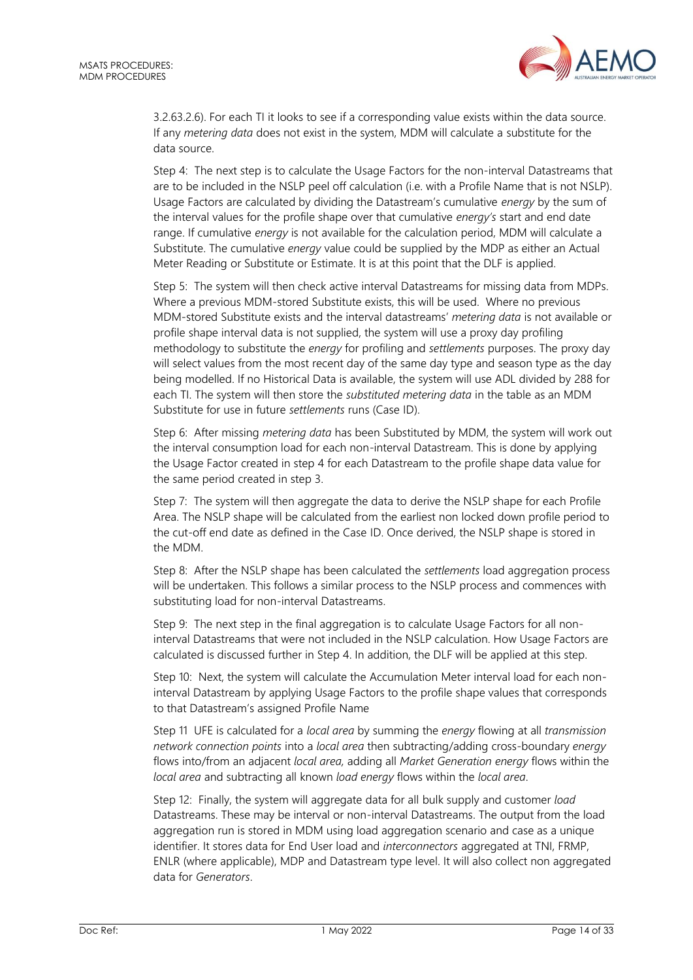

3.2.[63.2.6\)](#page-8-0). For each TI it looks to see if a corresponding value exists within the data source. If any *metering data* does not exist in the system, MDM will calculate a substitute for the data source.

Step 4: The next step is to calculate the Usage Factors for the non-interval Datastreams that are to be included in the NSLP peel off calculation (i.e. with a Profile Name that is not NSLP). Usage Factors are calculated by dividing the Datastream's cumulative *energy* by the sum of the interval values for the profile shape over that cumulative *energy's* start and end date range. If cumulative *energy* is not available for the calculation period, MDM will calculate a Substitute. The cumulative *energy* value could be supplied by the MDP as either an Actual Meter Reading or Substitute or Estimate. It is at this point that the DLF is applied.

Step 5: The system will then check active interval Datastreams for missing data from MDPs. Where a previous MDM-stored Substitute exists, this will be used. Where no previous MDM-stored Substitute exists and the interval datastreams' *metering data* is not available or profile shape interval data is not supplied, the system will use a proxy day profiling methodology to substitute the *energy* for profiling and *settlements* purposes. The proxy day will select values from the most recent day of the same day type and season type as the day being modelled. If no Historical Data is available, the system will use ADL divided by 288 for each TI. The system will then store the *substituted metering data* in the table as an MDM Substitute for use in future *settlements* runs (Case ID).

Step 6: After missing *metering data* has been Substituted by MDM, the system will work out the interval consumption load for each non-interval Datastream. This is done by applying the Usage Factor created in step 4 for each Datastream to the profile shape data value for the same period created in step 3.

Step 7: The system will then aggregate the data to derive the NSLP shape for each Profile Area. The NSLP shape will be calculated from the earliest non locked down profile period to the cut-off end date as defined in the Case ID. Once derived, the NSLP shape is stored in the MDM.

Step 8: After the NSLP shape has been calculated the *settlements* load aggregation process will be undertaken. This follows a similar process to the NSLP process and commences with substituting load for non-interval Datastreams.

Step 9: The next step in the final aggregation is to calculate Usage Factors for all noninterval Datastreams that were not included in the NSLP calculation. How Usage Factors are calculated is discussed further in Step 4. In addition, the DLF will be applied at this step.

Step 10: Next, the system will calculate the Accumulation Meter interval load for each noninterval Datastream by applying Usage Factors to the profile shape values that corresponds to that Datastream's assigned Profile Name

Step 11 UFE is calculated for a *local area* by summing the *energy* flowing at all *transmission network connection points* into a *local area* then subtracting/adding cross-boundary *energy* flows into/from an adjacent *local area,* adding all *Market Generation energy* flows within the *local area* and subtracting all known *load energy* flows within the *local area*.

Step 12: Finally, the system will aggregate data for all bulk supply and customer *load* Datastreams. These may be interval or non-interval Datastreams. The output from the load aggregation run is stored in MDM using load aggregation scenario and case as a unique identifier. It stores data for End User load and *interconnectors* aggregated at TNI, FRMP, ENLR (where applicable), MDP and Datastream type level. It will also collect non aggregated data for *Generators*.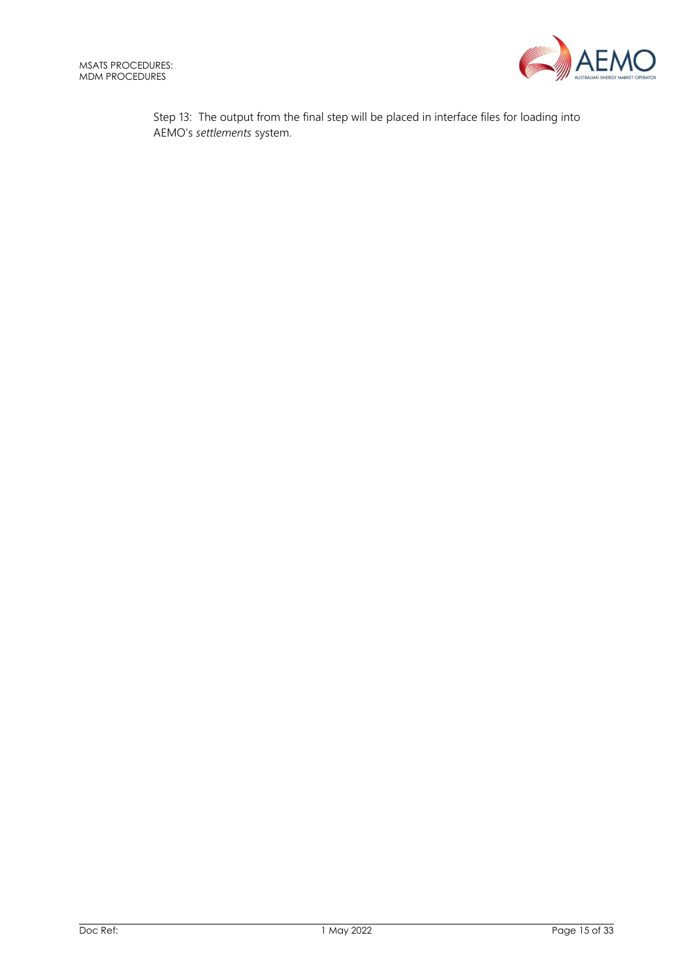

Step 13: The output from the final step will be placed in interface files for loading into AEMO's *settlements* system.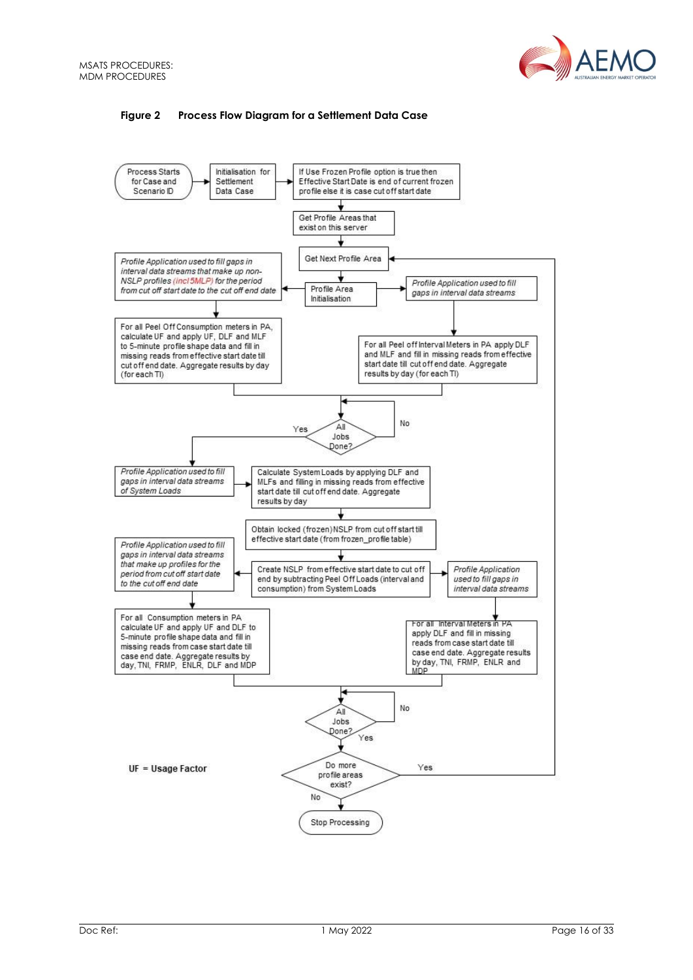

## **Figure 2 Process Flow Diagram for a Settlement Data Case**

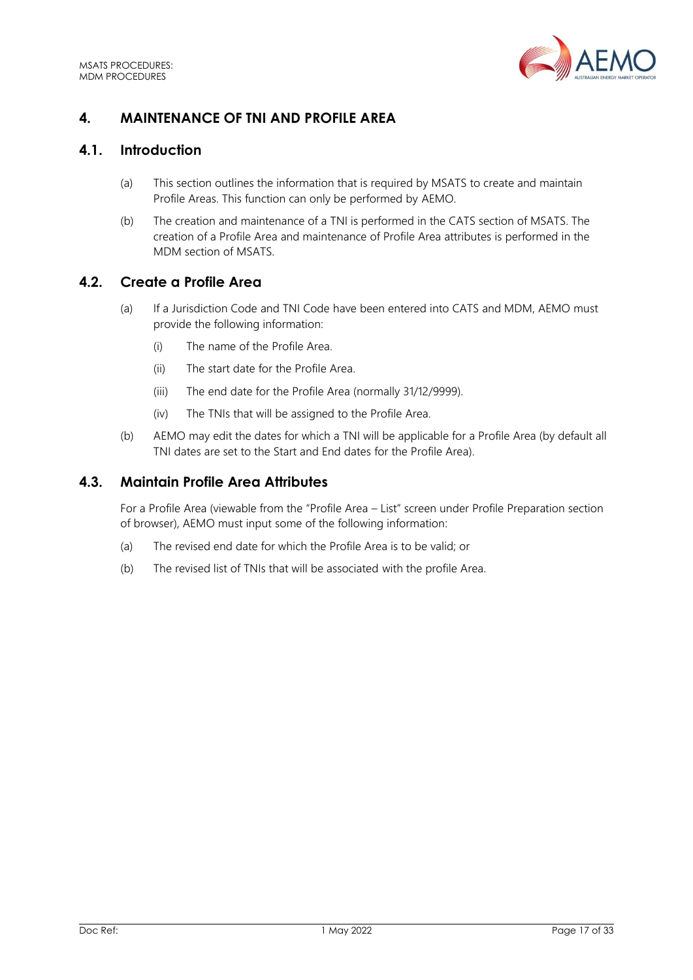

# <span id="page-16-0"></span>**4. MAINTENANCE OF TNI AND PROFILE AREA**

# <span id="page-16-1"></span>**4.1. Introduction**

- (a) This section outlines the information that is required by MSATS to create and maintain Profile Areas. This function can only be performed by AEMO.
- (b) The creation and maintenance of a TNI is performed in the CATS section of MSATS. The creation of a Profile Area and maintenance of Profile Area attributes is performed in the MDM section of MSATS.

## <span id="page-16-2"></span>**4.2. Create a Profile Area**

- (a) If a Jurisdiction Code and TNI Code have been entered into CATS and MDM, AEMO must provide the following information:
	- (i) The name of the Profile Area.
	- (ii) The start date for the Profile Area.
	- (iii) The end date for the Profile Area (normally 31/12/9999).
	- (iv) The TNIs that will be assigned to the Profile Area.
- (b) AEMO may edit the dates for which a TNI will be applicable for a Profile Area (by default all TNI dates are set to the Start and End dates for the Profile Area).

# <span id="page-16-3"></span>**4.3. Maintain Profile Area Attributes**

For a Profile Area (viewable from the "Profile Area – List" screen under Profile Preparation section of browser), AEMO must input some of the following information:

- (a) The revised end date for which the Profile Area is to be valid; or
- (b) The revised list of TNIs that will be associated with the profile Area.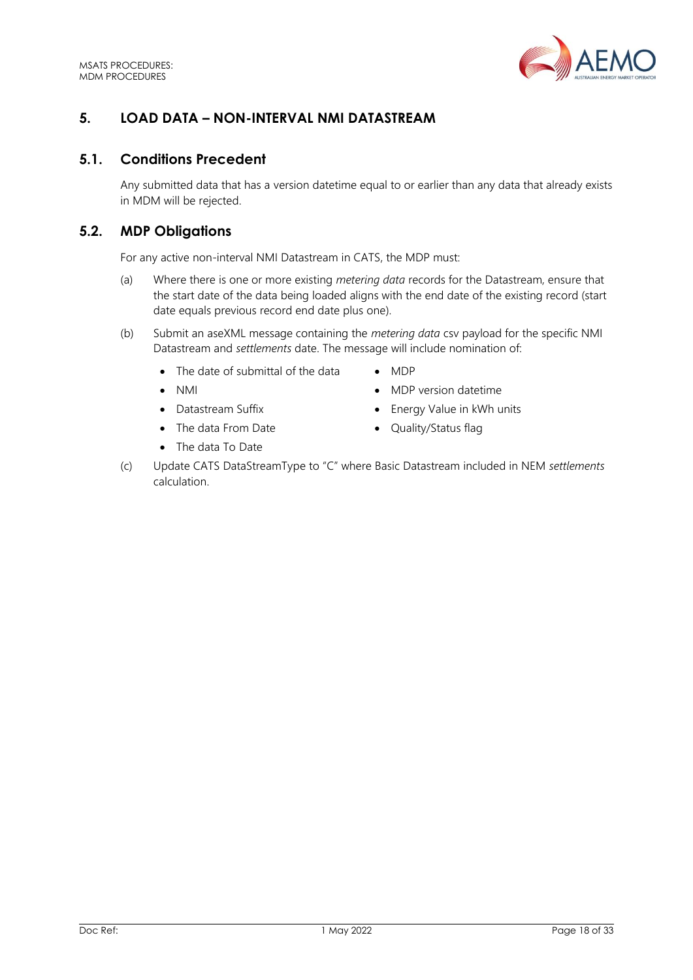

# <span id="page-17-0"></span>**5. LOAD DATA – NON-INTERVAL NMI DATASTREAM**

# <span id="page-17-1"></span>**5.1. Conditions Precedent**

Any submitted data that has a version datetime equal to or earlier than any data that already exists in MDM will be rejected.

# <span id="page-17-2"></span>**5.2. MDP Obligations**

For any active non-interval NMI Datastream in CATS, the MDP must:

- (a) Where there is one or more existing *metering data* records for the Datastream, ensure that the start date of the data being loaded aligns with the end date of the existing record (start date equals previous record end date plus one).
- (b) Submit an aseXML message containing the *metering data* csv payload for the specific NMI Datastream and *settlements* date. The message will include nomination of:
	- The date of submittal of the data MDP
	-
	-
	- The data From Date Quality/Status flag
	- The data To Date
- 
- NMI MDP version datetime
- Datastream Suffix **•** Energy Value in kWh units
	-
- (c) Update CATS DataStreamType to "C" where Basic Datastream included in NEM *settlements* calculation.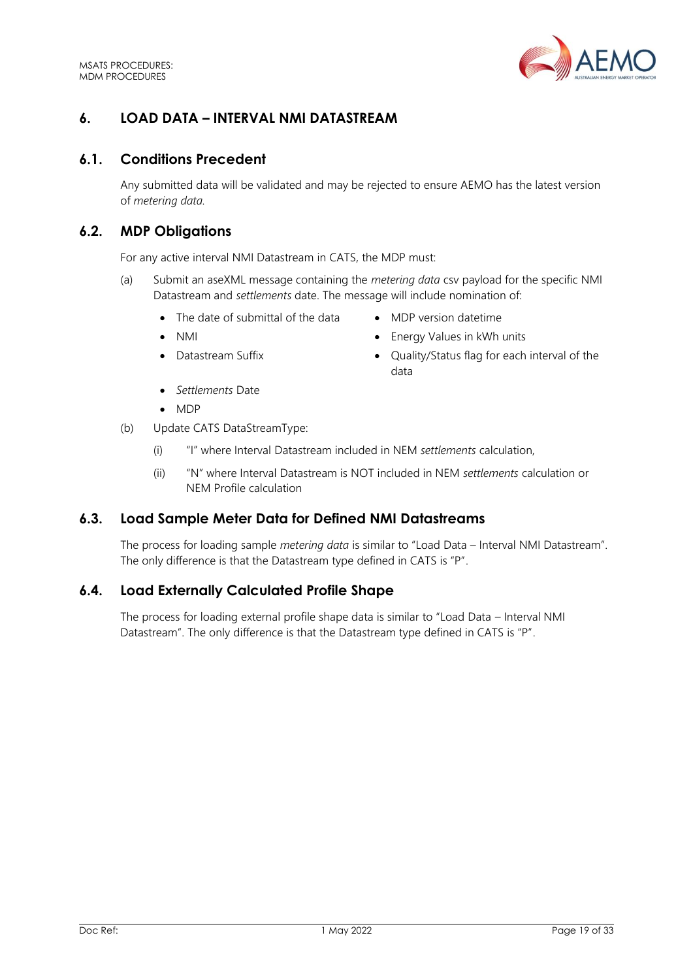

# <span id="page-18-0"></span>**6. LOAD DATA – INTERVAL NMI DATASTREAM**

## <span id="page-18-1"></span>**6.1. Conditions Precedent**

Any submitted data will be validated and may be rejected to ensure AEMO has the latest version of *metering data.*

## <span id="page-18-2"></span>**6.2. MDP Obligations**

For any active interval NMI Datastream in CATS, the MDP must:

- (a) Submit an aseXML message containing the *metering data* csv payload for the specific NMI Datastream and *settlements* date. The message will include nomination of:
	- The date of submittal of the data MDP version datetime
	-
	-
- 
- NMI NMI Energy Values in kWh units
- Datastream Suffix  **Quality/Status flag for each interval of the** data
- *Settlements* Date
- MDP
- (b) Update CATS DataStreamType:
	- (i) "I" where Interval Datastream included in NEM *settlements* calculation,
	- (ii) "N" where Interval Datastream is NOT included in NEM *settlements* calculation or NEM Profile calculation

# <span id="page-18-3"></span>**6.3. Load Sample Meter Data for Defined NMI Datastreams**

The process for loading sample *metering data* is similar to "Load Data – Interval NMI Datastream". The only difference is that the Datastream type defined in CATS is "P".

## <span id="page-18-4"></span>**6.4. Load Externally Calculated Profile Shape**

The process for loading external profile shape data is similar to "Load Data – Interval NMI Datastream". The only difference is that the Datastream type defined in CATS is "P".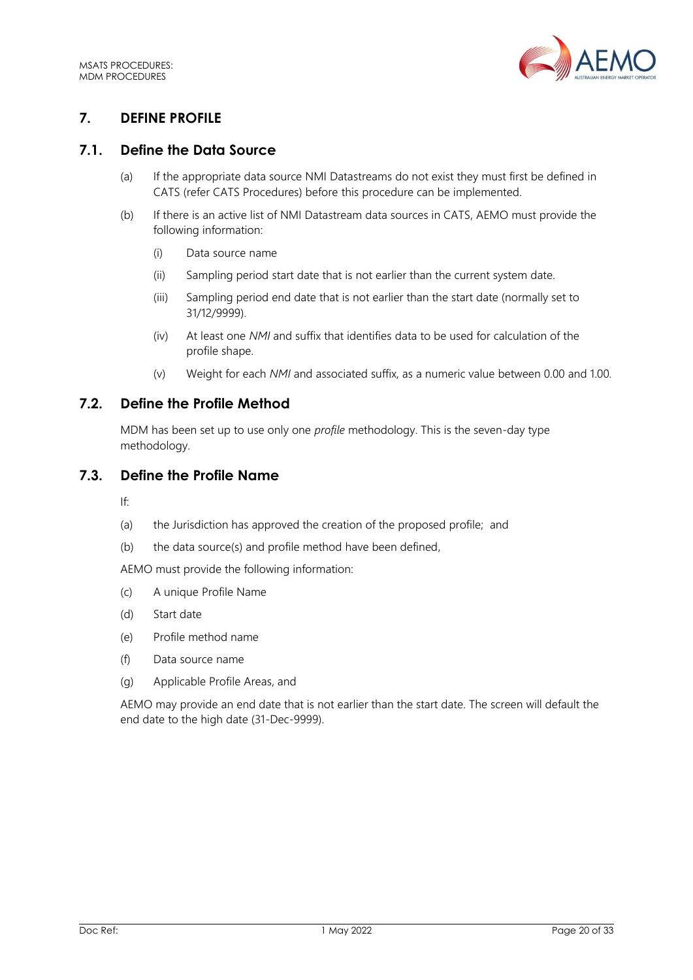

# <span id="page-19-0"></span>**7. DEFINE PROFILE**

# <span id="page-19-1"></span>**7.1. Define the Data Source**

- (a) If the appropriate data source NMI Datastreams do not exist they must first be defined in CATS (refer CATS Procedures) before this procedure can be implemented.
- (b) If there is an active list of NMI Datastream data sources in CATS, AEMO must provide the following information:
	- (i) Data source name
	- (ii) Sampling period start date that is not earlier than the current system date.
	- (iii) Sampling period end date that is not earlier than the start date (normally set to 31/12/9999).
	- (iv) At least one *NMI* and suffix that identifies data to be used for calculation of the profile shape.
	- (v) Weight for each *NMI* and associated suffix, as a numeric value between 0.00 and 1.00.

# <span id="page-19-2"></span>**7.2. Define the Profile Method**

MDM has been set up to use only one *profile* methodology. This is the seven-day type methodology.

# <span id="page-19-3"></span>**7.3. Define the Profile Name**

If:

- (a) the Jurisdiction has approved the creation of the proposed profile; and
- (b) the data source(s) and profile method have been defined,

AEMO must provide the following information:

- (c) A unique Profile Name
- (d) Start date
- (e) Profile method name
- (f) Data source name
- (g) Applicable Profile Areas, and

AEMO may provide an end date that is not earlier than the start date. The screen will default the end date to the high date (31-Dec-9999).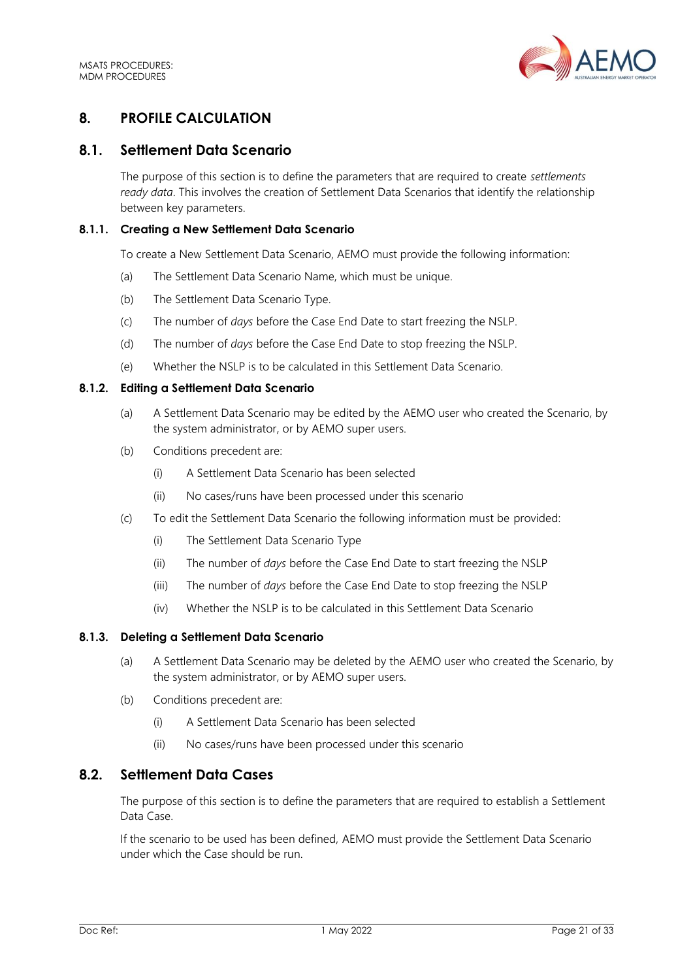

# <span id="page-20-0"></span>**8. PROFILE CALCULATION**

# <span id="page-20-1"></span>**8.1. Settlement Data Scenario**

The purpose of this section is to define the parameters that are required to create *settlements ready data*. This involves the creation of Settlement Data Scenarios that identify the relationship between key parameters.

## **8.1.1. Creating a New Settlement Data Scenario**

To create a New Settlement Data Scenario, AEMO must provide the following information:

- (a) The Settlement Data Scenario Name, which must be unique.
- (b) The Settlement Data Scenario Type.
- (c) The number of *days* before the Case End Date to start freezing the NSLP.
- (d) The number of *days* before the Case End Date to stop freezing the NSLP.
- (e) Whether the NSLP is to be calculated in this Settlement Data Scenario.

#### **8.1.2. Editing a Settlement Data Scenario**

- (a) A Settlement Data Scenario may be edited by the AEMO user who created the Scenario, by the system administrator, or by AEMO super users.
- (b) Conditions precedent are:
	- (i) A Settlement Data Scenario has been selected
	- (ii) No cases/runs have been processed under this scenario
- (c) To edit the Settlement Data Scenario the following information must be provided:
	- (i) The Settlement Data Scenario Type
	- (ii) The number of *days* before the Case End Date to start freezing the NSLP
	- (iii) The number of *days* before the Case End Date to stop freezing the NSLP
	- (iv) Whether the NSLP is to be calculated in this Settlement Data Scenario

#### **8.1.3. Deleting a Settlement Data Scenario**

- (a) A Settlement Data Scenario may be deleted by the AEMO user who created the Scenario, by the system administrator, or by AEMO super users.
- (b) Conditions precedent are:
	- (i) A Settlement Data Scenario has been selected
	- (ii) No cases/runs have been processed under this scenario

# <span id="page-20-2"></span>**8.2. Settlement Data Cases**

The purpose of this section is to define the parameters that are required to establish a Settlement Data Case.

If the scenario to be used has been defined, AEMO must provide the Settlement Data Scenario under which the Case should be run.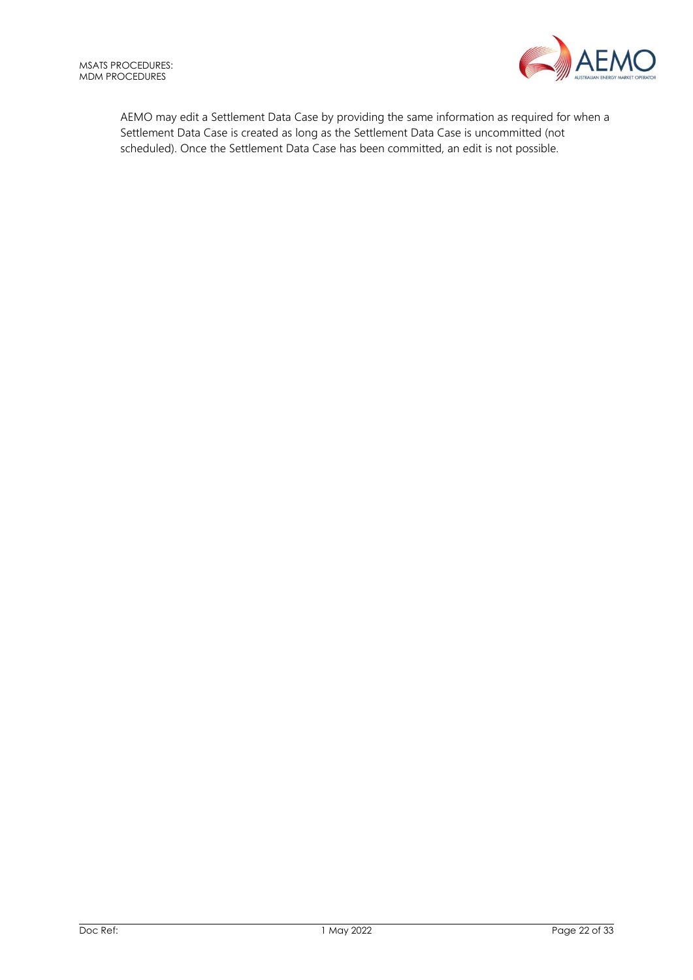

AEMO may edit a Settlement Data Case by providing the same information as required for when a Settlement Data Case is created as long as the Settlement Data Case is uncommitted (not scheduled). Once the Settlement Data Case has been committed, an edit is not possible.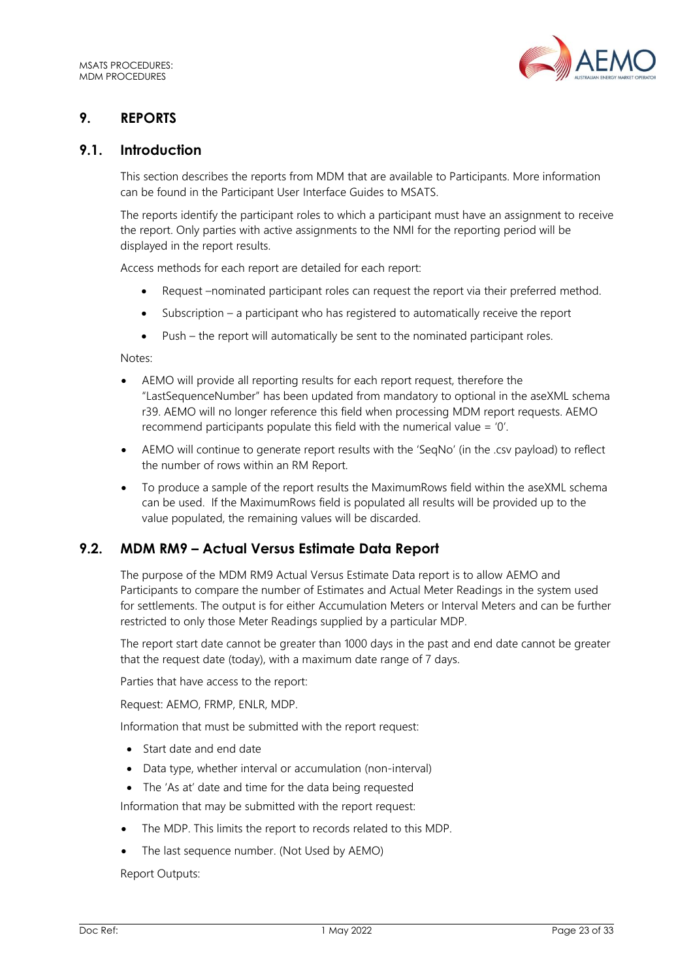

# <span id="page-22-0"></span>**9. REPORTS**

## <span id="page-22-1"></span>**9.1. Introduction**

This section describes the reports from MDM that are available to Participants. More information can be found in the Participant User Interface Guides to MSATS.

The reports identify the participant roles to which a participant must have an assignment to receive the report. Only parties with active assignments to the NMI for the reporting period will be displayed in the report results.

Access methods for each report are detailed for each report:

- Request –nominated participant roles can request the report via their preferred method.
- Subscription a participant who has registered to automatically receive the report
- Push the report will automatically be sent to the nominated participant roles.

Notes:

- AEMO will provide all reporting results for each report request, therefore the "LastSequenceNumber" has been updated from mandatory to optional in the aseXML schema r39. AEMO will no longer reference this field when processing MDM report requests. AEMO recommend participants populate this field with the numerical value = '0'.
- AEMO will continue to generate report results with the 'SeqNo' (in the .csv payload) to reflect the number of rows within an RM Report.
- To produce a sample of the report results the MaximumRows field within the aseXML schema can be used. If the MaximumRows field is populated all results will be provided up to the value populated, the remaining values will be discarded.

# <span id="page-22-2"></span>**9.2. MDM RM9 – Actual Versus Estimate Data Report**

The purpose of the MDM RM9 Actual Versus Estimate Data report is to allow AEMO and Participants to compare the number of Estimates and Actual Meter Readings in the system used for settlements. The output is for either Accumulation Meters or Interval Meters and can be further restricted to only those Meter Readings supplied by a particular MDP.

The report start date cannot be greater than 1000 days in the past and end date cannot be greater that the request date (today), with a maximum date range of 7 days.

Parties that have access to the report:

Request: AEMO, FRMP, ENLR, MDP.

Information that must be submitted with the report request:

- Start date and end date
- Data type, whether interval or accumulation (non-interval)
- The 'As at' date and time for the data being requested

Information that may be submitted with the report request:

- The MDP. This limits the report to records related to this MDP.
- The last sequence number. (Not Used by AEMO)

Report Outputs: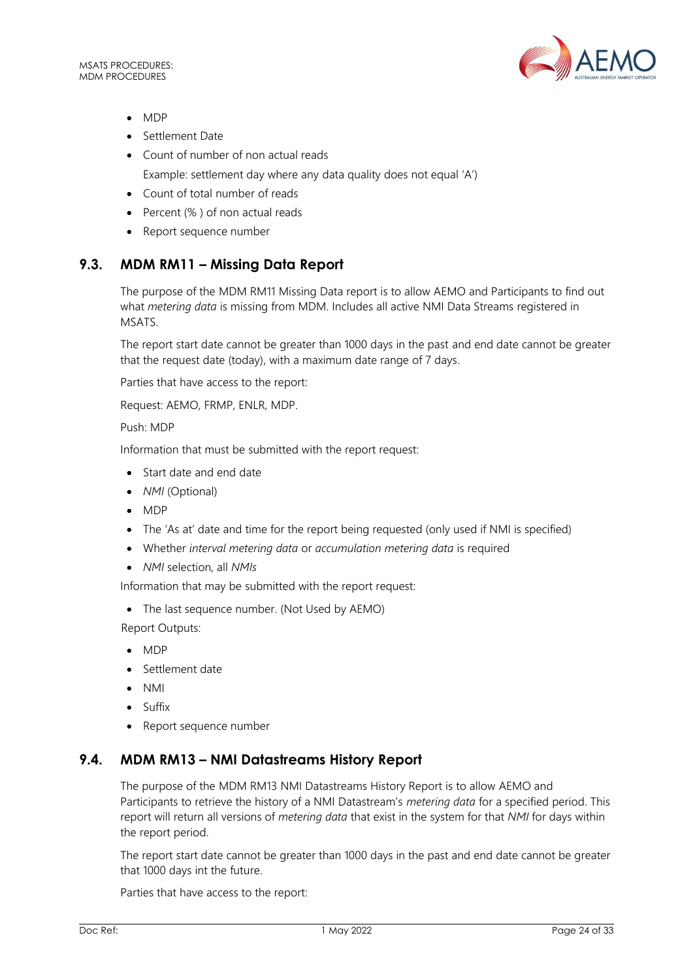MSATS PROCEDURES: MDM PROCEDURES



- MDP
- Settlement Date
- Count of number of non actual reads Example: settlement day where any data quality does not equal 'A')
- Count of total number of reads
- Percent (% ) of non actual reads
- Report sequence number

# <span id="page-23-0"></span>**9.3. MDM RM11 – Missing Data Report**

The purpose of the MDM RM11 Missing Data report is to allow AEMO and Participants to find out what *metering data* is missing from MDM. Includes all active NMI Data Streams registered in MSATS.

The report start date cannot be greater than 1000 days in the past and end date cannot be greater that the request date (today), with a maximum date range of 7 days.

Parties that have access to the report:

Request: AEMO, FRMP, ENLR, MDP.

Push: MDP

Information that must be submitted with the report request:

- Start date and end date
- *NMI* (Optional)
- MDP
- The 'As at' date and time for the report being requested (only used if NMI is specified)
- Whether *interval metering data* or *accumulation metering data* is required
- *NMI* selection, all *NMIs*

Information that may be submitted with the report request:

• The last sequence number. (Not Used by AEMO)

Report Outputs:

- MDP
- Settlement date
- NMI
- Suffix
- Report sequence number

# <span id="page-23-1"></span>**9.4. MDM RM13 – NMI Datastreams History Report**

The purpose of the MDM RM13 NMI Datastreams History Report is to allow AEMO and Participants to retrieve the history of a NMI Datastream's *metering data* for a specified period. This report will return all versions of *metering data* that exist in the system for that *NMI* for days within the report period.

The report start date cannot be greater than 1000 days in the past and end date cannot be greater that 1000 days int the future.

Parties that have access to the report: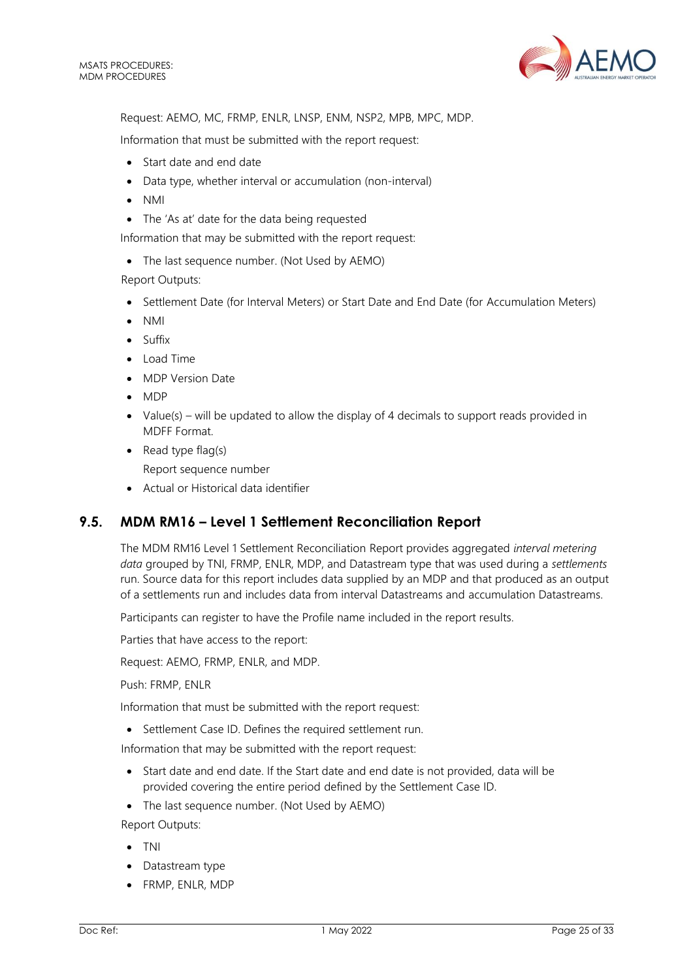

Request: AEMO, MC, FRMP, ENLR, LNSP, ENM, NSP2, MPB, MPC, MDP.

Information that must be submitted with the report request:

- Start date and end date
- Data type, whether interval or accumulation (non-interval)
- NMI
- The 'As at' date for the data being requested

Information that may be submitted with the report request:

• The last sequence number. (Not Used by AEMO)

Report Outputs:

- Settlement Date (for Interval Meters) or Start Date and End Date (for Accumulation Meters)
- NMI
- Suffix
- Load Time
- MDP Version Date
- MDP
- Value(s) will be updated to allow the display of 4 decimals to support reads provided in MDFF Format.
- Read type flag(s)

Report sequence number

• Actual or Historical data identifier

# <span id="page-24-0"></span>**9.5. MDM RM16 – Level 1 Settlement Reconciliation Report**

The MDM RM16 Level 1 Settlement Reconciliation Report provides aggregated *interval metering data* grouped by TNI, FRMP, ENLR, MDP, and Datastream type that was used during a *settlements* run. Source data for this report includes data supplied by an MDP and that produced as an output of a settlements run and includes data from interval Datastreams and accumulation Datastreams.

Participants can register to have the Profile name included in the report results.

Parties that have access to the report:

Request: AEMO, FRMP, ENLR, and MDP.

Push: FRMP, ENLR

Information that must be submitted with the report request:

• Settlement Case ID. Defines the required settlement run.

Information that may be submitted with the report request:

- Start date and end date. If the Start date and end date is not provided, data will be provided covering the entire period defined by the Settlement Case ID.
- The last sequence number. (Not Used by AEMO)

Report Outputs:

- TNI
- Datastream type
- FRMP, ENLR, MDP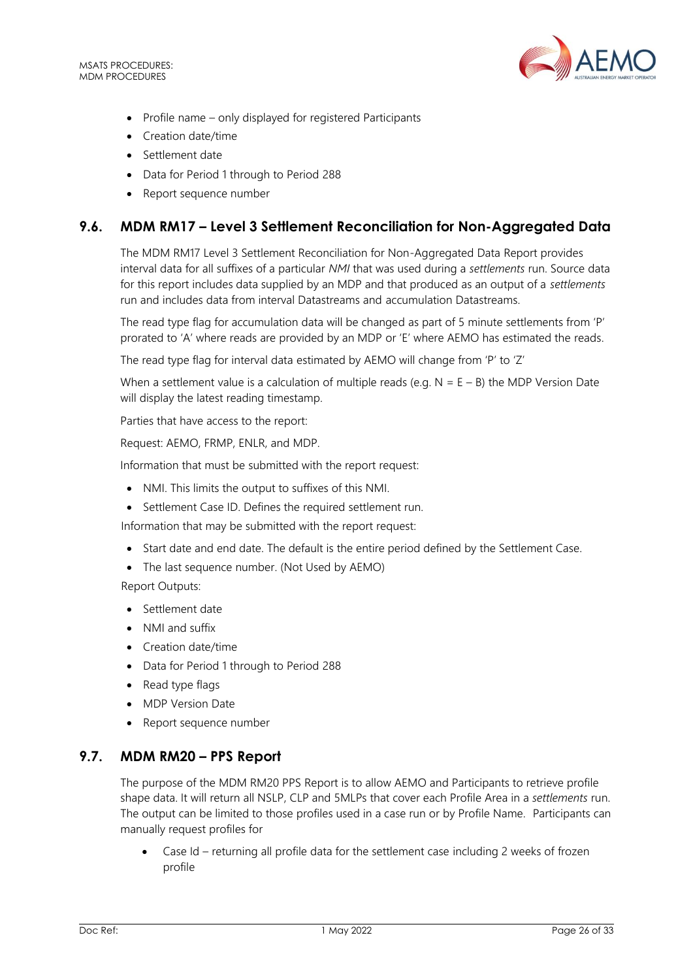MSATS PROCEDURES: MDM PROCEDURES



- Profile name only displayed for registered Participants
- Creation date/time
- Settlement date
- Data for Period 1 through to Period 288
- Report sequence number

# <span id="page-25-0"></span>**9.6. MDM RM17 – Level 3 Settlement Reconciliation for Non-Aggregated Data**

The MDM RM17 Level 3 Settlement Reconciliation for Non-Aggregated Data Report provides interval data for all suffixes of a particular *NMI* that was used during a *settlements* run. Source data for this report includes data supplied by an MDP and that produced as an output of a *settlements* run and includes data from interval Datastreams and accumulation Datastreams.

The read type flag for accumulation data will be changed as part of 5 minute settlements from 'P' prorated to 'A' where reads are provided by an MDP or 'E' where AEMO has estimated the reads.

The read type flag for interval data estimated by AEMO will change from 'P' to 'Z'

When a settlement value is a calculation of multiple reads (e.g.  $N = E - B$ ) the MDP Version Date will display the latest reading timestamp.

Parties that have access to the report:

Request: AEMO, FRMP, ENLR, and MDP.

Information that must be submitted with the report request:

- NMI. This limits the output to suffixes of this NMI.
- Settlement Case ID. Defines the required settlement run.

Information that may be submitted with the report request:

- Start date and end date. The default is the entire period defined by the Settlement Case.
- The last sequence number. (Not Used by AEMO)

Report Outputs:

- Settlement date
- NMI and suffix
- Creation date/time
- Data for Period 1 through to Period 288
- Read type flags
- MDP Version Date
- Report sequence number

# <span id="page-25-1"></span>**9.7. MDM RM20 – PPS Report**

The purpose of the MDM RM20 PPS Report is to allow AEMO and Participants to retrieve profile shape data. It will return all NSLP, CLP and 5MLPs that cover each Profile Area in a *settlements* run. The output can be limited to those profiles used in a case run or by Profile Name. Participants can manually request profiles for

• Case Id – returning all profile data for the settlement case including 2 weeks of frozen profile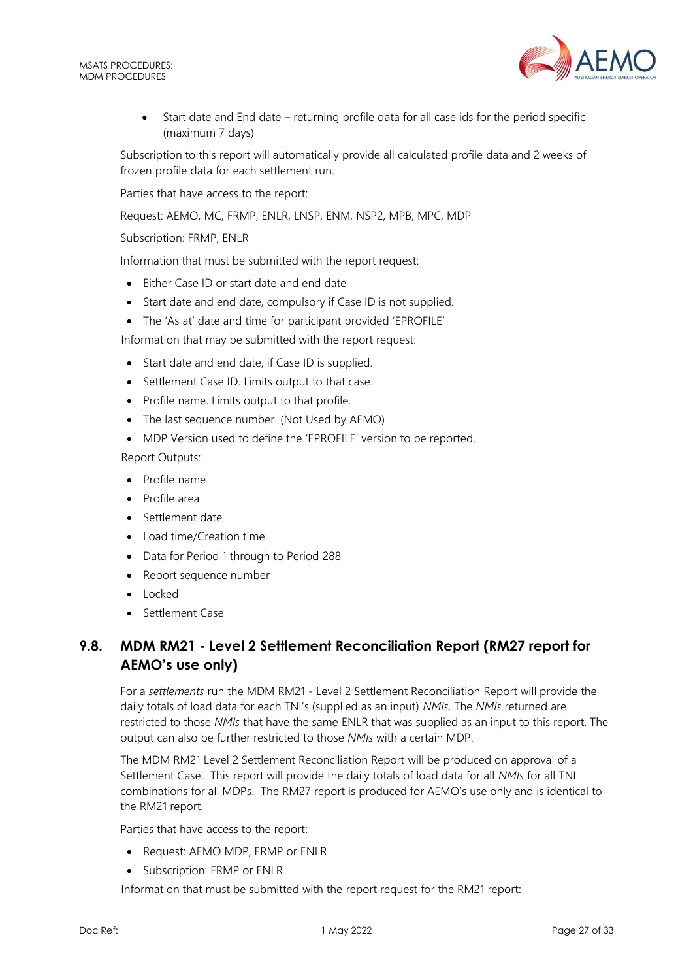

• Start date and End date – returning profile data for all case ids for the period specific (maximum 7 days)

Subscription to this report will automatically provide all calculated profile data and 2 weeks of frozen profile data for each settlement run.

Parties that have access to the report:

Request: AEMO, MC, FRMP, ENLR, LNSP, ENM, NSP2, MPB, MPC, MDP

Subscription: FRMP, ENLR

Information that must be submitted with the report request:

- Either Case ID or start date and end date
- Start date and end date, compulsory if Case ID is not supplied.
- The 'As at' date and time for participant provided 'EPROFILE'

Information that may be submitted with the report request:

- Start date and end date, if Case ID is supplied.
- Settlement Case ID. Limits output to that case.
- Profile name. Limits output to that profile.
- The last sequence number. (Not Used by AEMO)
- MDP Version used to define the 'EPROFILE' version to be reported.

Report Outputs:

- Profile name
- Profile area
- Settlement date
- Load time/Creation time
- Data for Period 1 through to Period 288
- Report sequence number
- Locked
- Settlement Case

# <span id="page-26-0"></span>**9.8. MDM RM21 - Level 2 Settlement Reconciliation Report (RM27 report for AEMO's use only)**

For a *settlements* run the MDM RM21 - Level 2 Settlement Reconciliation Report will provide the daily totals of load data for each TNI's (supplied as an input) *NMIs*. The *NMIs* returned are restricted to those *NMIs* that have the same ENLR that was supplied as an input to this report. The output can also be further restricted to those *NMIs* with a certain MDP.

The MDM RM21 Level 2 Settlement Reconciliation Report will be produced on approval of a Settlement Case. This report will provide the daily totals of load data for all *NMIs* for all TNI combinations for all MDPs. The RM27 report is produced for AEMO's use only and is identical to the RM21 report.

Parties that have access to the report:

- Request: AEMO MDP, FRMP or ENLR
- Subscription: FRMP or ENLR

Information that must be submitted with the report request for the RM21 report: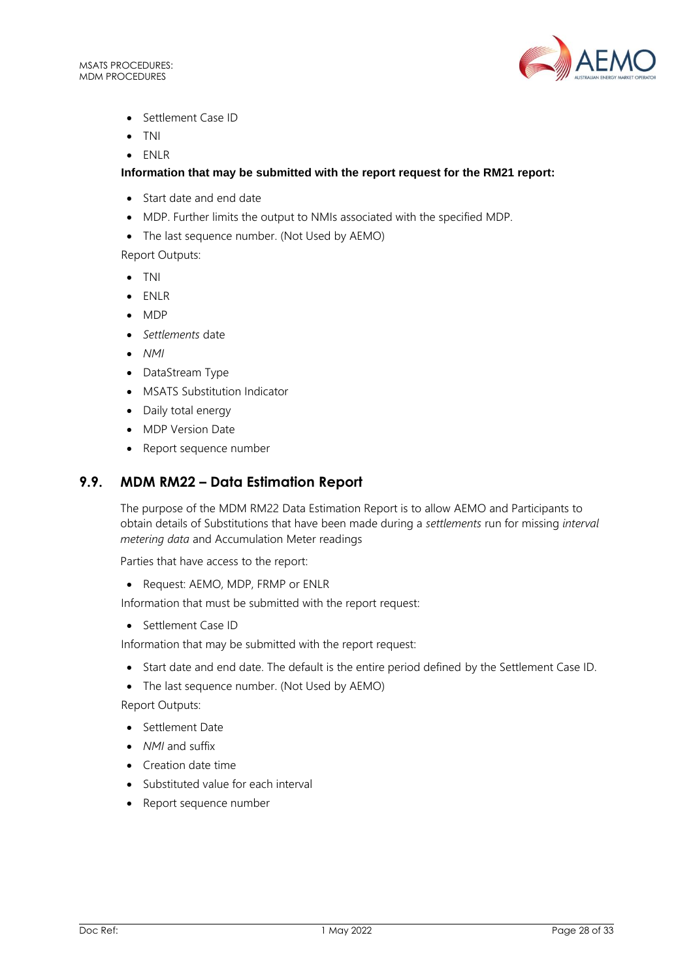MSATS PROCEDURES: MDM PROCEDURES



- Settlement Case ID
- TNI
- ENLR

## **Information that may be submitted with the report request for the RM21 report:**

- Start date and end date
- MDP. Further limits the output to NMIs associated with the specified MDP.
- The last sequence number. (Not Used by AEMO)

Report Outputs:

- TNI
- ENLR
- MDP
- *Settlements* date
- *NMI*
- DataStream Type
- MSATS Substitution Indicator
- Daily total energy
- MDP Version Date
- Report sequence number

# <span id="page-27-0"></span>**9.9. MDM RM22 – Data Estimation Report**

The purpose of the MDM RM22 Data Estimation Report is to allow AEMO and Participants to obtain details of Substitutions that have been made during a *settlements* run for missing *interval metering data* and Accumulation Meter readings

Parties that have access to the report:

• Request: AEMO, MDP, FRMP or ENLR

Information that must be submitted with the report request:

• Settlement Case ID

Information that may be submitted with the report request:

- Start date and end date. The default is the entire period defined by the Settlement Case ID.
- The last sequence number. (Not Used by AEMO)

Report Outputs:

- Settlement Date
- *NMI* and suffix
- Creation date time
- Substituted value for each interval
- Report sequence number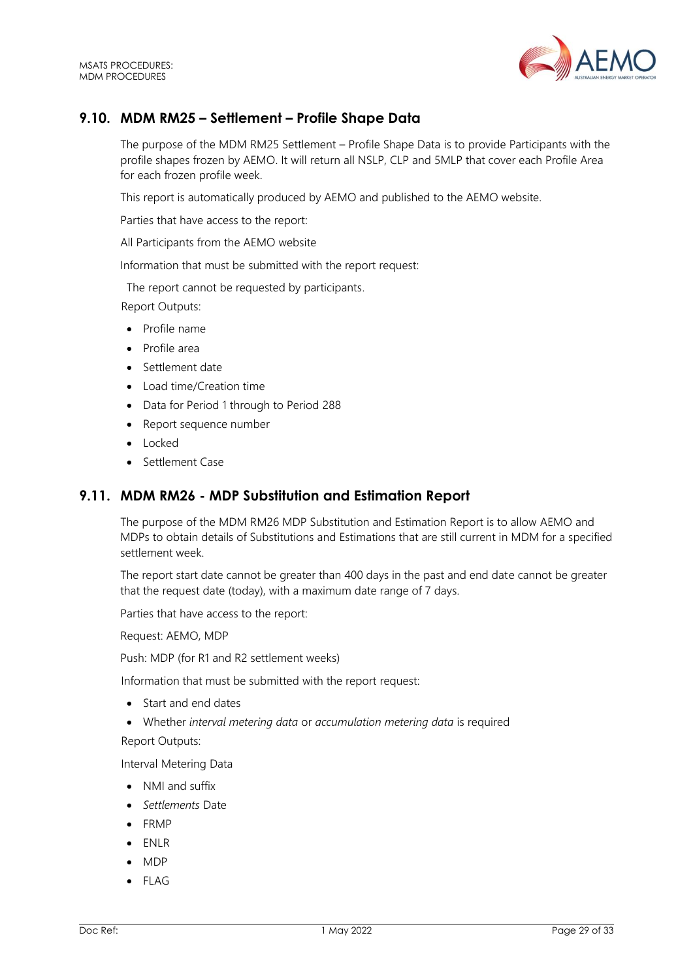

# <span id="page-28-0"></span>**9.10. MDM RM25 – Settlement – Profile Shape Data**

The purpose of the MDM RM25 Settlement – Profile Shape Data is to provide Participants with the profile shapes frozen by AEMO. It will return all NSLP, CLP and 5MLP that cover each Profile Area for each frozen profile week.

This report is automatically produced by AEMO and published to the AEMO website.

Parties that have access to the report:

All Participants from the AEMO website

Information that must be submitted with the report request:

The report cannot be requested by participants.

Report Outputs:

- Profile name
- Profile area
- Settlement date
- Load time/Creation time
- Data for Period 1 through to Period 288
- Report sequence number
- Locked
- Settlement Case

# <span id="page-28-1"></span>**9.11. MDM RM26 - MDP Substitution and Estimation Report**

The purpose of the MDM RM26 MDP Substitution and Estimation Report is to allow AEMO and MDPs to obtain details of Substitutions and Estimations that are still current in MDM for a specified settlement week.

The report start date cannot be greater than 400 days in the past and end date cannot be greater that the request date (today), with a maximum date range of 7 days.

Parties that have access to the report:

Request: AEMO, MDP

Push: MDP (for R1 and R2 settlement weeks)

Information that must be submitted with the report request:

- Start and end dates
- Whether *interval metering data* or *accumulation metering data* is required

Report Outputs:

Interval Metering Data

- NMI and suffix
- *Settlements* Date
- FRMP
- ENLR
- MDP
- $\bullet$  FLAG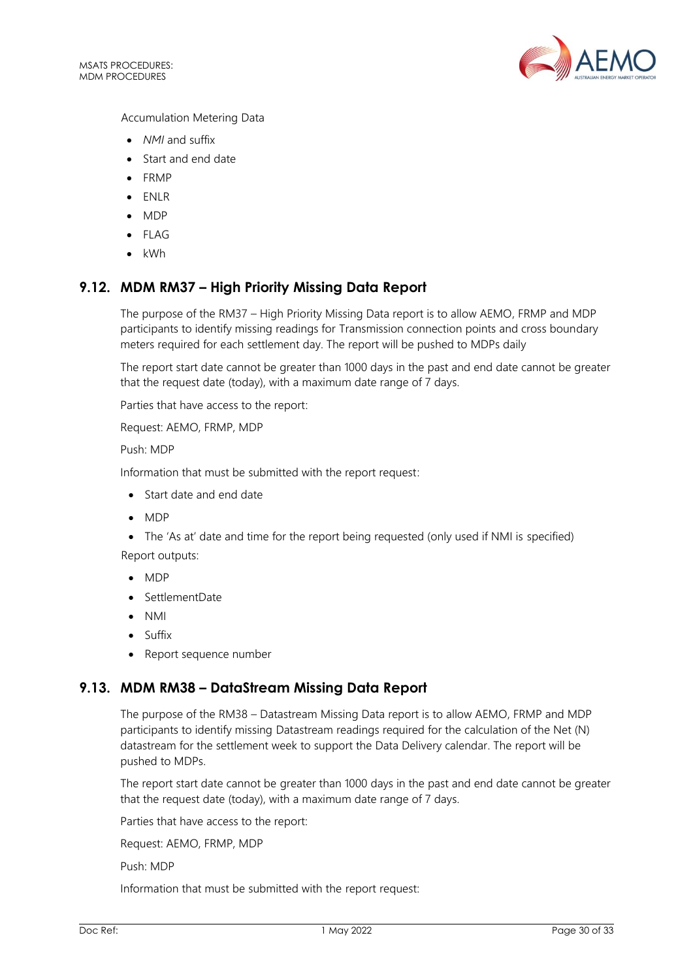

Accumulation Metering Data

- *NMI* and suffix
- Start and end date
- FRMP
- ENLR
- MDP
- FLAG
- kWh

# <span id="page-29-0"></span>**9.12. MDM RM37 – High Priority Missing Data Report**

The purpose of the RM37 – High Priority Missing Data report is to allow AEMO, FRMP and MDP participants to identify missing readings for Transmission connection points and cross boundary meters required for each settlement day. The report will be pushed to MDPs daily

The report start date cannot be greater than 1000 days in the past and end date cannot be greater that the request date (today), with a maximum date range of 7 days.

Parties that have access to the report:

Request: AEMO, FRMP, MDP

Push: MDP

Information that must be submitted with the report request:

- Start date and end date
- MDP
- The 'As at' date and time for the report being requested (only used if NMI is specified) Report outputs:
- MDP
- SettlementDate
- NMI
- Suffix
- Report sequence number

## <span id="page-29-1"></span>**9.13. MDM RM38 – DataStream Missing Data Report**

The purpose of the RM38 – Datastream Missing Data report is to allow AEMO, FRMP and MDP participants to identify missing Datastream readings required for the calculation of the Net (N) datastream for the settlement week to support the Data Delivery calendar. The report will be pushed to MDPs.

The report start date cannot be greater than 1000 days in the past and end date cannot be greater that the request date (today), with a maximum date range of 7 days.

Parties that have access to the report:

Request: AEMO, FRMP, MDP

Push: MDP

Information that must be submitted with the report request: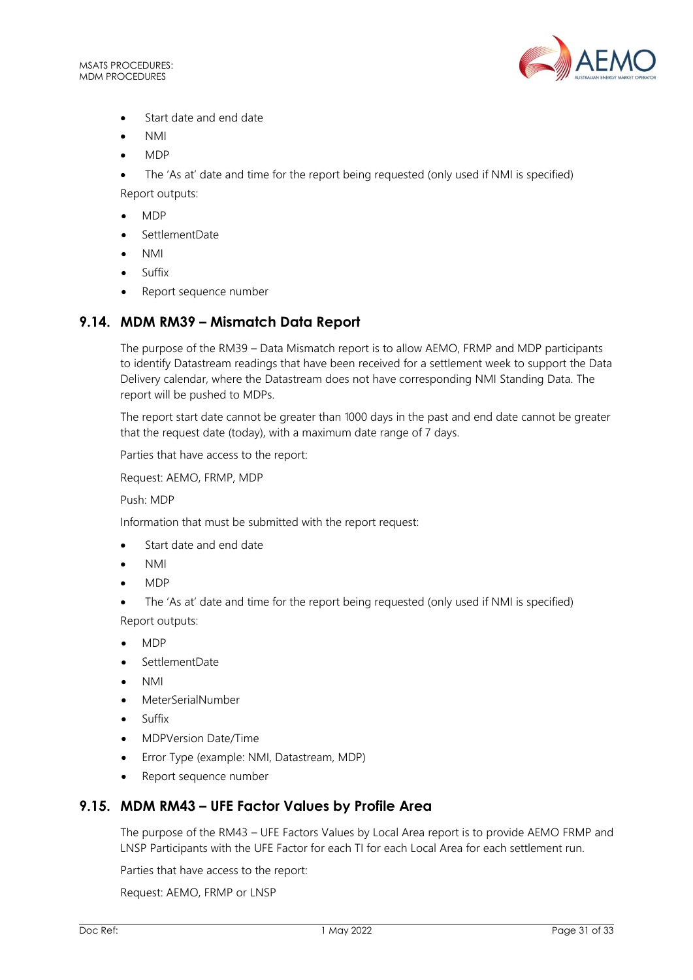

- Start date and end date
- NMI
- MDP

• The 'As at' date and time for the report being requested (only used if NMI is specified) Report outputs:

- MDP
- SettlementDate
- NMI
- Suffix
- Report sequence number

# <span id="page-30-0"></span>**9.14. MDM RM39 – Mismatch Data Report**

The purpose of the RM39 – Data Mismatch report is to allow AEMO, FRMP and MDP participants to identify Datastream readings that have been received for a settlement week to support the Data Delivery calendar, where the Datastream does not have corresponding NMI Standing Data. The report will be pushed to MDPs.

The report start date cannot be greater than 1000 days in the past and end date cannot be greater that the request date (today), with a maximum date range of 7 days.

Parties that have access to the report:

Request: AEMO, FRMP, MDP

Push: MDP

Information that must be submitted with the report request:

- Start date and end date
- NMI
- MDP
- The 'As at' date and time for the report being requested (only used if NMI is specified) Report outputs:
- MDP
- SettlementDate
- NMI
- MeterSerialNumber
- Suffix
- MDPVersion Date/Time
- Error Type (example: NMI, Datastream, MDP)
- Report sequence number

# <span id="page-30-1"></span>**9.15. MDM RM43 – UFE Factor Values by Profile Area**

The purpose of the RM43 – UFE Factors Values by Local Area report is to provide AEMO FRMP and LNSP Participants with the UFE Factor for each TI for each Local Area for each settlement run.

Parties that have access to the report:

Request: AEMO, FRMP or LNSP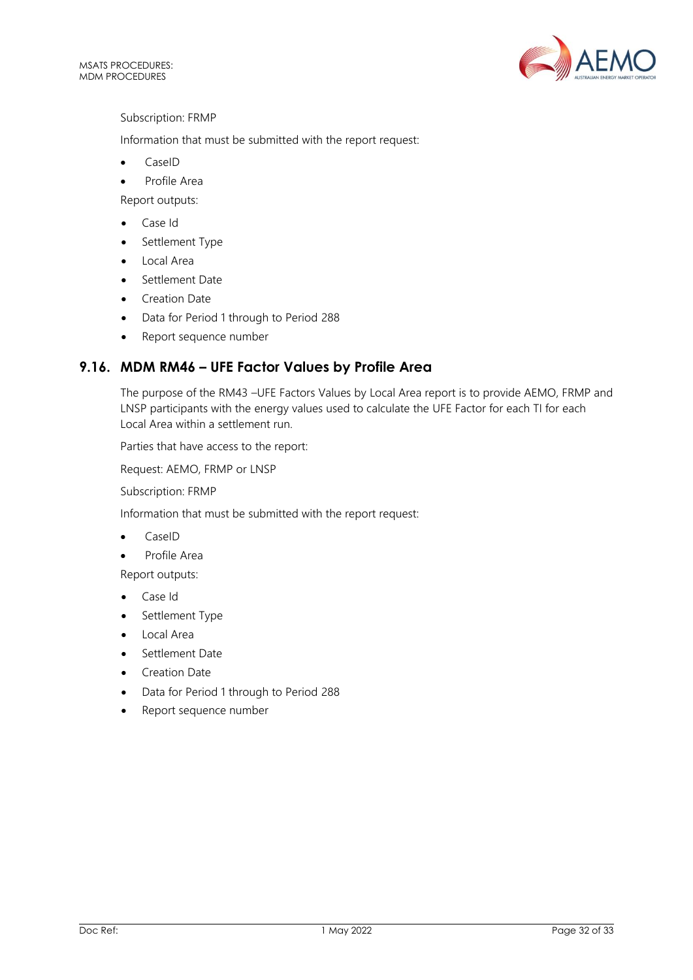

Subscription: FRMP

Information that must be submitted with the report request:

- CaseID
- Profile Area

Report outputs:

- Case Id
- Settlement Type
- Local Area
- Settlement Date
- Creation Date
- Data for Period 1 through to Period 288
- Report sequence number

# <span id="page-31-0"></span>**9.16. MDM RM46 – UFE Factor Values by Profile Area**

The purpose of the RM43 –UFE Factors Values by Local Area report is to provide AEMO, FRMP and LNSP participants with the energy values used to calculate the UFE Factor for each TI for each Local Area within a settlement run.

Parties that have access to the report:

Request: AEMO, FRMP or LNSP

Subscription: FRMP

Information that must be submitted with the report request:

- CaseID
- Profile Area

Report outputs:

- Case Id
- Settlement Type
- Local Area
- Settlement Date
- Creation Date
- Data for Period 1 through to Period 288
- Report sequence number